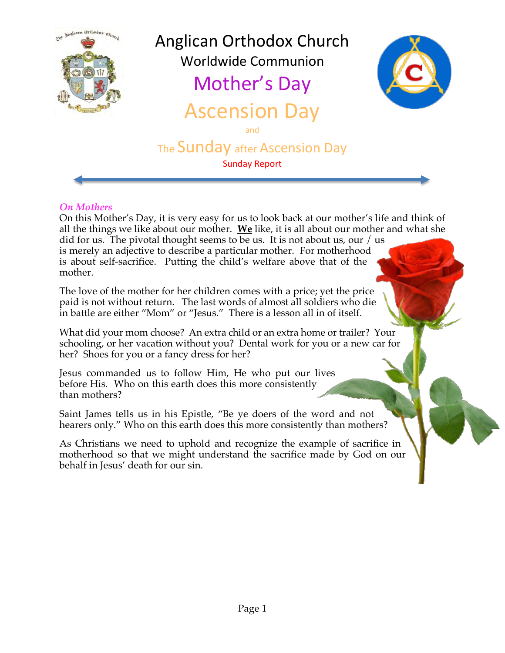

## *On Mothers*

On this Mother's Day, it is very easy for us to look back at our mother's life and think of all the things we like about our mother. **We** like, it is all about our mother and what she did for us. The pivotal thought seems to be us. It is not about us, our / us is merely an adjective to describe a particular mother. For motherhood is about self-sacrifice. Putting the child's welfare above that of the mother.

The love of the mother for her children comes with a price; yet the price paid is not without return. The last words of almost all soldiers who die in battle are either "Mom" or "Jesus." There is a lesson all in of itself.

What did your mom choose? An extra child or an extra home or trailer? Your schooling, or her vacation without you? Dental work for you or a new car for her? Shoes for you or a fancy dress for her?

Jesus commanded us to follow Him, He who put our lives before His. Who on this earth does this more consistently than mothers?

Saint James tells us in his Epistle, "Be ye doers of the word and not hearers only." Who on this earth does this more consistently than mothers?

As Christians we need to uphold and recognize the example of sacrifice in motherhood so that we might understand the sacrifice made by God on our behalf in Jesus' death for our sin.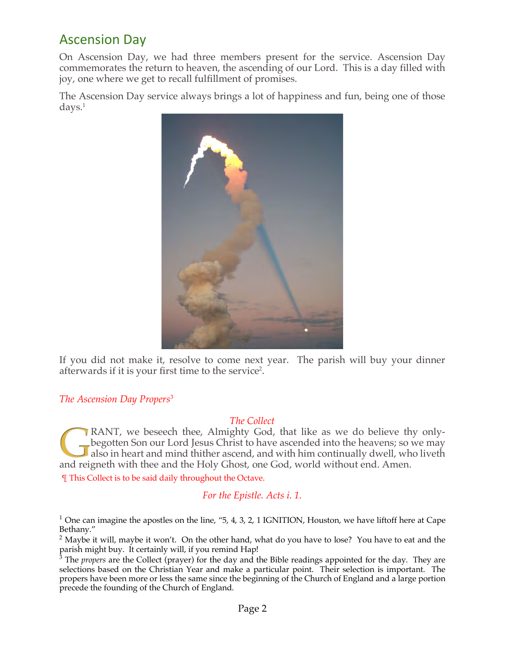# Ascension Day

On Ascension Day, we had three members present for the service. Ascension Day commemorates the return to heaven, the ascending of our Lord. This is a day filled with joy, one where we get to recall fulfillment of promises.

The Ascension Day service always brings a lot of happiness and fun, being one of those days.1



If you did not make it, resolve to come next year. The parish will buy your dinner afterwards if it is your first time to the service<sup>2</sup>.

### *The Ascension Day Propers*<sup>3</sup>

#### *The Collect*

RANT, we beseech thee, Almighty God, that like as we do believe thy onlybegotten Son our Lord Jesus Christ to have ascended into the heavens; so we may also in heart and mind thither ascend, and with him continually dwell, who liveth and reigneth with thee and the Holy Ghost, one God, world without end. Amen.

¶ This Collect is to be said daily throughout the Octave.

## *For the Epistle. Acts i. 1.*

<sup>1</sup> One can imagine the apostles on the line,  $4, 3, 2, 1$  IGNITION, Houston, we have liftoff here at Cape Bethany."

 $2$  Maybe it will, maybe it won't. On the other hand, what do you have to lose? You have to eat and the parish might buy. It certainly will, if you remind Hap!

<sup>3</sup> The *propers* are the Collect (prayer) for the day and the Bible readings appointed for the day. They are selections based on the Christian Year and make a particular point. Their selection is important. The propers have been more or less the same since the beginning of the Church of England and a large portion precede the founding of the Church of England.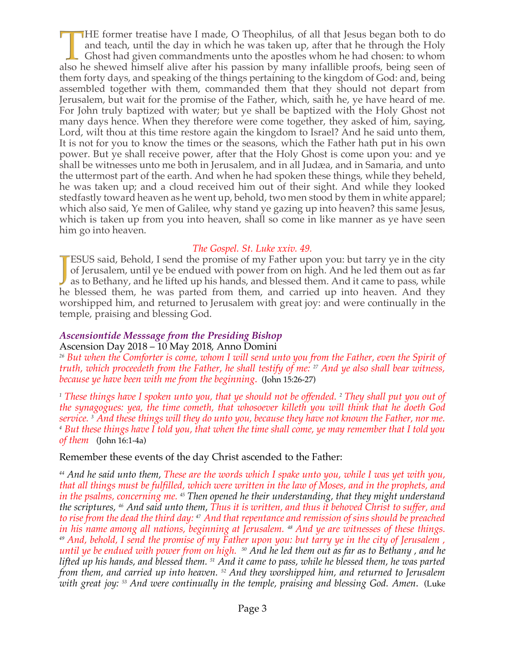HE former treatise have I made, O Theophilus, of all that Jesus began both to do and teach, until the day in which he was taken up, after that he through the Holy Ghost had given commandments unto the apostles whom he had chosen: to whom also he shewed himself alive after his passion by many infallible proofs, being seen of them forty days, and speaking of the things pertaining to the kingdom of God: and, being assembled together with them, commanded them that they should not depart from Jerusalem, but wait for the promise of the Father, which, saith he, ye have heard of me. For John truly baptized with water; but ye shall be baptized with the Holy Ghost not many days hence. When they therefore were come together, they asked of him, saying, Lord, wilt thou at this time restore again the kingdom to Israel? And he said unto them, It is not for you to know the times or the seasons, which the Father hath put in his own power. But ye shall receive power, after that the Holy Ghost is come upon you: and ye shall be witnesses unto me both in Jerusalem, and in all Judæa, and in Samaria, and unto the uttermost part of the earth. And when he had spoken these things, while they beheld, he was taken up; and a cloud received him out of their sight. And while they looked stedfastly toward heaven as he went up, behold, two men stood by them in white apparel; which also said, Ye men of Galilee, why stand ye gazing up into heaven? this same Jesus, which is taken up from you into heaven, shall so come in like manner as ye have seen him go into heaven.

### *The Gospel. St. Luke xxiv. 49.*

**ESUS** said, Behold, I send the promise of my Father upon you: but tarry ye in the city of Jerusalem, until ye be endued with power from on high. And he led them out as far  $\blacktriangleright$  as to Bethany, and he lifted up his hands, and blessed them. And it came to pass, while he blessed them, he was parted from them, and carried up into heaven. And they worshipped him, and returned to Jerusalem with great joy: and were continually in the temple, praising and blessing God.

### *Ascensiontide Messsage from the Presiding Bishop*

Ascension Day 2018 – 10 May 2018, Anno Domini

*<sup>26</sup> But when the Comforter is come, whom I will send unto you from the Father, even the Spirit of truth, which proceedeth from the Father, he shall testify of me: 27 And ye also shall bear witness, because ye have been with me from the beginning*. (John 15:26-27)

*<sup>1</sup> These things have I spoken unto you, that ye should not be offended. 2 They shall put you out of the synagogues: yea, the time cometh, that whosoever killeth you will think that he doeth God*  service. 3 And these things will they do unto you, because they have not known the Father, nor me.<br>4 But these things have I told you, that when the time shall come, ye may remember that I told you *of them* (John 16:1-4a)

### Remember these events of the day Christ ascended to the Father:

*<sup>44</sup> And he said unto them, These are the words which I spake unto you, while I was yet with you, that all things must be fulfilled, which were written in the law of Moses, and in the prophets, and in the psalms, concerning me. <sup>45</sup> Then opened he their understanding, that they might understand the scriptures, 46 And said unto them, Thus it is written, and thus it behoved Christ to suffer, and to rise from the dead the third day: 47 And that repentance and remission of sins should be preached in his name among all nations, beginning at Jerusalem. 48 And ye are witnesses of these things. 49 And, behold, I send the promise of my Father upon you: but tarry ye in the city of Jerusalem , until ye be endued with power from on high. <sup>50</sup> And he led them out as far as to Bethany , and he lifted up his hands, and blessed them. 51 And it came to pass, while he blessed them, he was parted from them, and carried up into heaven. 52 And they worshipped him, and returned to Jerusalem with great joy: 53 And were continually in the temple, praising and blessing God. Amen*. (Luke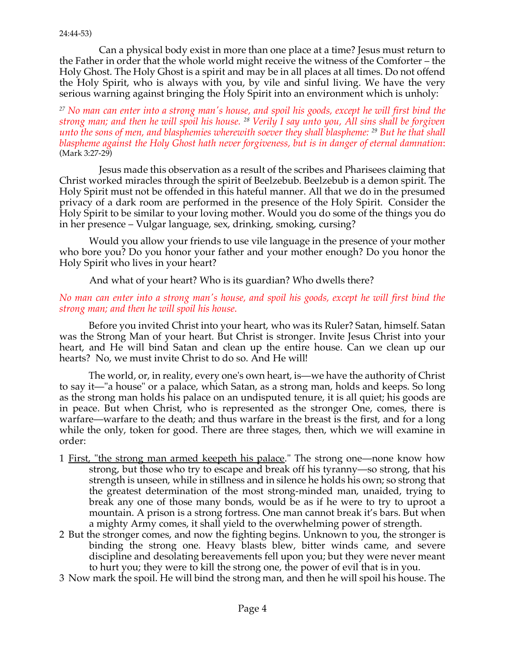Can a physical body exist in more than one place at a time? Jesus must return to the Father in order that the whole world might receive the witness of the Comforter – the Holy Ghost. The Holy Ghost is a spirit and may be in all places at all times. Do not offend the Holy Spirit, who is always with you, by vile and sinful living. We have the very serious warning against bringing the Holy Spirit into an environment which is unholy:

*<sup>27</sup> No man can enter into a strong man's house, and spoil his goods, except he will first bind the strong man; and then he will spoil his house. 28 Verily I say unto you, All sins shall be forgiven unto the sons of men, and blasphemies wherewith soever they shall blaspheme: 29 But he that shall blaspheme against the Holy Ghost hath never forgiveness, but is in danger of eternal damnation*: (Mark 3:27-29)

Jesus made this observation as a result of the scribes and Pharisees claiming that Christ worked miracles through the spirit of Beelzebub. Beelzebub is a demon spirit. The Holy Spirit must not be offended in this hateful manner. All that we do in the presumed privacy of a dark room are performed in the presence of the Holy Spirit. Consider the Holy Spirit to be similar to your loving mother. Would you do some of the things you do in her presence – Vulgar language, sex, drinking, smoking, cursing?

Would you allow your friends to use vile language in the presence of your mother who bore you? Do you honor your father and your mother enough? Do you honor the Holy Spirit who lives in your heart?

And what of your heart? Who is its guardian? Who dwells there?

#### *No man can enter into a strong man's house, and spoil his goods, except he will first bind the strong man; and then he will spoil his house*.

Before you invited Christ into your heart, who was its Ruler? Satan, himself. Satan was the Strong Man of your heart. But Christ is stronger. Invite Jesus Christ into your heart, and He will bind Satan and clean up the entire house. Can we clean up our hearts? No, we must invite Christ to do so. And He will!

The world, or, in reality, every one's own heart, is—we have the authority of Christ to say it—"a house" or a palace, which Satan, as a strong man, holds and keeps. So long as the strong man holds his palace on an undisputed tenure, it is all quiet; his goods are in peace. But when Christ, who is represented as the stronger One, comes, there is warfare—warfare to the death; and thus warfare in the breast is the first, and for a long while the only, token for good. There are three stages, then, which we will examine in order:

- 1 First, "the strong man armed keepeth his palace." The strong one—none know how strong, but those who try to escape and break off his tyranny—so strong, that his strength is unseen, while in stillness and in silence he holds his own; so strong that the greatest determination of the most strong-minded man, unaided, trying to break any one of those many bonds, would be as if he were to try to uproot a mountain. A prison is a strong fortress. One man cannot break it's bars. But when a mighty Army comes, it shall yield to the overwhelming power of strength.
- 2 But the stronger comes, and now the fighting begins. Unknown to you, the stronger is binding the strong one. Heavy blasts blew, bitter winds came, and severe discipline and desolating bereavements fell upon you; but they were never meant to hurt you; they were to kill the strong one, the power of evil that is in you.
- 3 Now mark the spoil. He will bind the strong man, and then he will spoil his house. The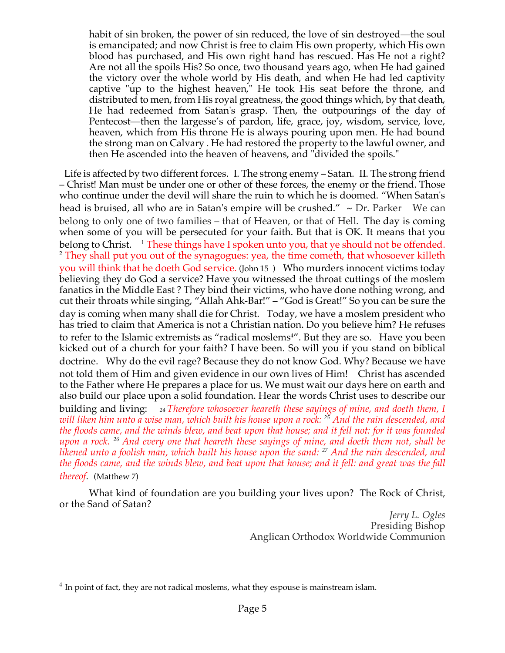habit of sin broken, the power of sin reduced, the love of sin destroyed—the soul is emancipated; and now Christ is free to claim His own property, which His own blood has purchased, and His own right hand has rescued. Has He not a right? Are not all the spoils His? So once, two thousand years ago, when He had gained the victory over the whole world by His death, and when He had led captivity captive "up to the highest heaven," He took His seat before the throne, and distributed to men, from His royal greatness, the good things which, by that death, He had redeemed from Satan's grasp. Then, the outpourings of the day of Pentecost—then the largesse's of pardon, life, grace, joy, wisdom, service, love, heaven, which from His throne He is always pouring upon men. He had bound the strong man on Calvary . He had restored the property to the lawful owner, and then He ascended into the heaven of heavens, and "divided the spoils."

Life is affected by two different forces. I. The strong enemy – Satan. II. The strong friend – Christ! Man must be under one or other of these forces, the enemy or the friend. Those who continue under the devil will share the ruin to which he is doomed. "When Satan's head is bruised, all who are in Satan's empire will be crushed." ~ Dr. Parker We can belong to only one of two families – that of Heaven, or that of Hell. The day is coming when some of you will be persecuted for your faith. But that is OK. It means that you belong to Christ.  $1$  These things have I spoken unto you, that ye should not be offended. <sup>2</sup> They shall put you out of the synagogues: yea, the time cometh, that whosoever killeth you will think that he doeth God service. (John 15 ) Who murders innocent victims today believing they do God a service? Have you witnessed the throat cuttings of the moslem fanatics in the Middle East ? They bind their victims, who have done nothing wrong, and cut their throats while singing, "Allah Ahk-Bar!" – "God is Great!" So you can be sure the day is coming when many shall die for Christ. Today, we have a moslem president who has tried to claim that America is not a Christian nation. Do you believe him? He refuses to refer to the Islamic extremists as "radical moslems<sup>4</sup>". But they are so. Have you been kicked out of a church for your faith? I have been. So will you if you stand on biblical doctrine. Why do the evil rage? Because they do not know God. Why? Because we have not told them of Him and given evidence in our own lives of Him! Christ has ascended to the Father where He prepares a place for us. We must wait our days here on earth and also build our place upon a solid foundation. Hear the words Christ uses to describe our building and living: *24 Therefore whosoever heareth these sayings of mine, and doeth them, I will liken him unto a wise man, which built his house upon a rock: 25 And the rain descended, and the floods came, and the winds blew, and beat upon that house; and it fell not: for it was founded upon a rock. 26 And every one that heareth these sayings of mine, and doeth them not, shall be likened unto a foolish man, which built his house upon the sand: 27 And the rain descended, and the floods came, and the winds blew, and beat upon that house; and it fell: and great was the fall thereof*. (Matthew 7)

What kind of foundation are you building your lives upon? The Rock of Christ, or the Sand of Satan?

*Jerry L. Ogles* Presiding Bishop Anglican Orthodox Worldwide Communion

<sup>&</sup>lt;sup>4</sup> In point of fact, they are not radical moslems, what they espouse is mainstream islam.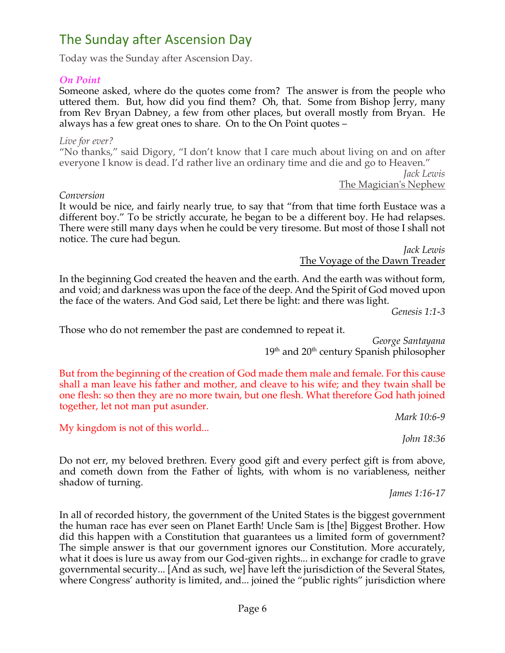# The Sunday after Ascension Day

Today was the Sunday after Ascension Day.

### *On Point*

Someone asked, where do the quotes come from? The answer is from the people who uttered them. But, how did you find them? Oh, that. Some from Bishop Jerry, many from Rev Bryan Dabney, a few from other places, but overall mostly from Bryan. He always has a few great ones to share. On to the On Point quotes –

*Live for ever?* "No thanks," said Digory, "I don't know that I care much about living on and on after everyone I know is dead. I'd rather live an ordinary time and die and go to Heaven."

*Jack Lewis* The Magician's Nephew

#### *Conversion*

It would be nice, and fairly nearly true, to say that "from that time forth Eustace was a different boy." To be strictly accurate, he began to be a different boy. He had relapses. There were still many days when he could be very tiresome. But most of those I shall not notice. The cure had begun.

*Jack Lewis* The Voyage of the Dawn Treader

In the beginning God created the heaven and the earth. And the earth was without form, and void; and darkness was upon the face of the deep. And the Spirit of God moved upon the face of the waters. And God said, Let there be light: and there was light.

*Genesis 1:1-3*

Those who do not remember the past are condemned to repeat it.

*George Santayana*  $19<sup>th</sup>$  and  $20<sup>th</sup>$  century Spanish philosopher

But from the beginning of the creation of God made them male and female. For this cause shall a man leave his father and mother, and cleave to his wife; and they twain shall be one flesh: so then they are no more twain, but one flesh. What therefore God hath joined together, let not man put asunder.

*Mark 10:6-9*

My kingdom is not of this world...

*John 18:36*

Do not err, my beloved brethren. Every good gift and every perfect gift is from above, and cometh down from the Father of lights, with whom is no variableness, neither shadow of turning.

*James 1:16-17*

In all of recorded history, the government of the United States is the biggest government the human race has ever seen on Planet Earth! Uncle Sam is [the] Biggest Brother. How did this happen with a Constitution that guarantees us a limited form of government? The simple answer is that our government ignores our Constitution. More accurately, what it does is lure us away from our God-given rights... in exchange for cradle to grave governmental security... [And as such, we] have left the jurisdiction of the Several States, where Congress' authority is limited, and... joined the "public rights" jurisdiction where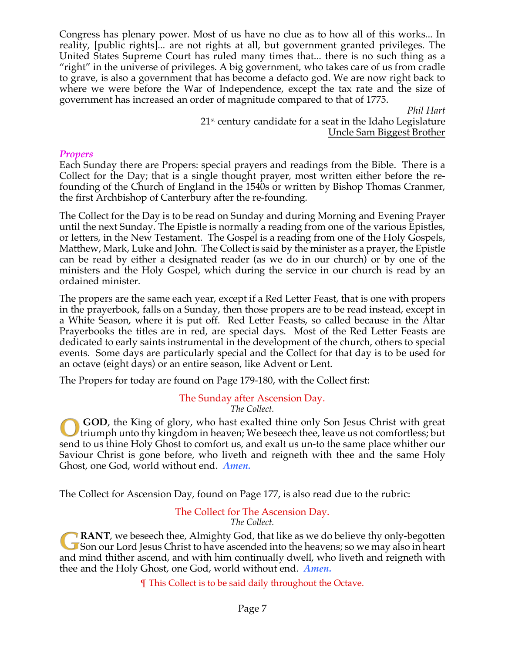Congress has plenary power. Most of us have no clue as to how all of this works... In reality, [public rights]... are not rights at all, but government granted privileges. The United States Supreme Court has ruled many times that... there is no such thing as a "right" in the universe of privileges. A big government, who takes care of us from cradle to grave, is also a government that has become a defacto god. We are now right back to where we were before the War of Independence, except the tax rate and the size of government has increased an order of magnitude compared to that of 1775.

*Phil Hart*  $21<sup>st</sup>$  century candidate for a seat in the Idaho Legislature Uncle Sam Biggest Brother

### *Propers*

Each Sunday there are Propers: special prayers and readings from the Bible. There is a Collect for the Day; that is a single thought prayer, most written either before the refounding of the Church of England in the 1540s or written by Bishop Thomas Cranmer, the first Archbishop of Canterbury after the re-founding.

The Collect for the Day is to be read on Sunday and during Morning and Evening Prayer until the next Sunday. The Epistle is normally a reading from one of the various Epistles, or letters, in the New Testament. The Gospel is a reading from one of the Holy Gospels, Matthew, Mark, Luke and John. The Collect is said by the minister as a prayer, the Epistle can be read by either a designated reader (as we do in our church) or by one of the ministers and the Holy Gospel, which during the service in our church is read by an ordained minister.

The propers are the same each year, except if a Red Letter Feast, that is one with propers in the prayerbook, falls on a Sunday, then those propers are to be read instead, except in a White Season, where it is put off. Red Letter Feasts, so called because in the Altar Prayerbooks the titles are in red, are special days. Most of the Red Letter Feasts are dedicated to early saints instrumental in the development of the church, others to special events. Some days are particularly special and the Collect for that day is to be used for an octave (eight days) or an entire season, like Advent or Lent.

The Propers for today are found on Page 179-180, with the Collect first:

#### The Sunday after Ascension Day. *The Collect.*

**GOD**, the King of glory, who hast exalted thine only Son Jesus Christ with great triumph unto thy kingdom in heaven; We beseech thee, leave us not comfortless; but send to us thine Holy Ghost to comfort us, and exalt us un-to the same place whither our Saviour Christ is gone before, who liveth and reigneth with thee and the same Holy Ghost, one God, world without end. *Amen.*

The Collect for Ascension Day, found on Page 177, is also read due to the rubric:

#### The Collect for The Ascension Day. *The Collect.*

**RANT**, we beseech thee, Almighty God, that like as we do believe thy only-begotten Son our Lord Jesus Christ to have ascended into the heavens; so we may also in heart and mind thither ascend, and with him continually dwell, who liveth and reigneth with thee and the Holy Ghost, one God, world without end. *Amen.*

¶ This Collect is to be said daily throughout the Octave.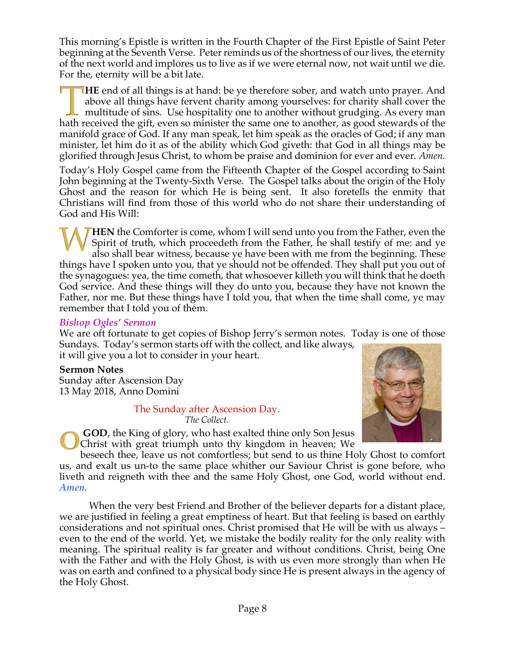This morning's Epistle is written in the Fourth Chapter of the First Epistle of Saint Peter beginning at the Seventh Verse. Peter reminds us of the shortness of our lives, the eternity of the next world and implores us to live as if we were eternal now, not wait until we die. For the, eternity will be a bit late.

**HE** end of all things is at hand: be ye therefore sober, and watch unto prayer. And above all things have fervent charity among yourselves: for charity shall cover the multitude of sins. Use hospitality one to another without grudging. As every man hath received the gift, even so minister the same one to another, as good stewards of the manifold grace of God. If any man speak, let him speak as the oracles of God; if any man minister, let him do it as of the ability which God giveth: that God in all things may be glorified through Jesus Christ, to whom be praise and dominion for ever and ever. *Amen.*

Today's Holy Gospel came from the Fifteenth Chapter of the Gospel according to Saint John beginning at the Twenty-Sixth Verse. The Gospel talks about the origin of the Holy Ghost and the reason for which He is being sent. It also foretells the enmity that Christians will find from those of this world who do not share their understanding of God and His Will:

**HEN** the Comforter is come, whom I will send unto you from the Father, even the Spirit of truth, which proceedeth from the Father, he shall testify of me: and ye also shall bear witness, because ye have been with me from the beginning. These things have I spoken unto you, that ye should not be offended. They shall put you out of the synagogues: yea, the time cometh, that whosoever killeth you will think that he doeth God service. And these things will they do unto you, because they have not known the Father, nor me. But these things have I told you, that when the time shall come, ye may remember that I told you of them.

## *Bishop Ogles' Sermon*

We are oft fortunate to get copies of Bishop Jerry's sermon notes. Today is one of those Sundays. Today's sermon starts off with the collect, and like always, it will give you a lot to consider in your heart.

## **Sermon Notes**

Sunday after Ascension Day 13 May 2018, Anno Domini

### The Sunday after Ascension Day.

*The Collect.*

**GOD**, the King of glory, who hast exalted thine only Son Jesus Christ with great triumph unto thy kingdom in heaven; We

beseech thee, leave us not comfortless; but send to us thine Holy Ghost to comfort us, and exalt us un-to the same place whither our Saviour Christ is gone before, who liveth and reigneth with thee and the same Holy Ghost, one God, world without end. *Amen.*

When the very best Friend and Brother of the believer departs for a distant place, we are justified in feeling a great emptiness of heart. But that feeling is based on earthly considerations and not spiritual ones. Christ promised that He will be with us always – even to the end of the world. Yet, we mistake the bodily reality for the only reality with meaning. The spiritual reality is far greater and without conditions. Christ, being One with the Father and with the Holy Ghost, is with us even more strongly than when He was on earth and confined to a physical body since He is present always in the agency of the Holy Ghost.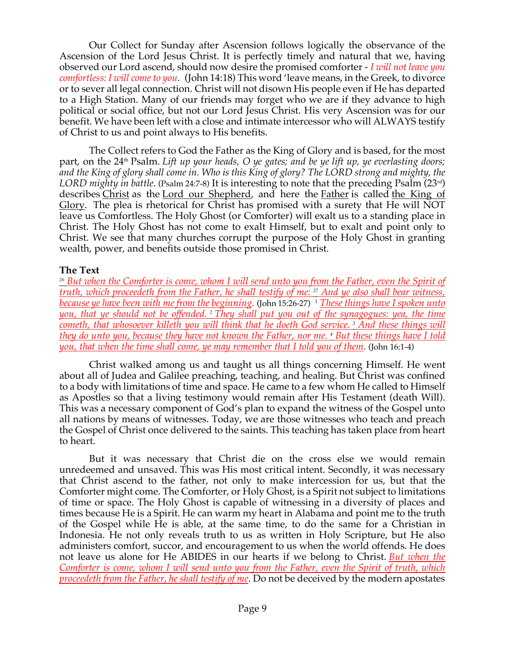Our Collect for Sunday after Ascension follows logically the observance of the Ascension of the Lord Jesus Christ. It is perfectly timely and natural that we, having observed our Lord ascend, should now desire the promised comforter - *I will not leave you comfortless: I will come to you*. (John 14:18) This word 'leave means, in the Greek, to divorce or to sever all legal connection. Christ will not disown His people even if He has departed to a High Station. Many of our friends may forget who we are if they advance to high political or social office, but not our Lord Jesus Christ. His very Ascension was for our benefit. We have been left with a close and intimate intercessor who will ALWAYS testify of Christ to us and point always to His benefits.

The Collect refers to God the Father as the King of Glory and is based, for the most part, on the 24<sup>th</sup> Psalm. Lift up your heads, O ye gates; and be ye lift up, ye everlasting doors; *and the King of glory shall come in. Who is this King of glory? The LORD strong and mighty, the LORD mighty in battle*. (Psalm 24:7-8) It is interesting to note that the preceding Psalm (23rd) describes Christ as the Lord our Shepherd, and here the Father is called the King of Glory. The plea is rhetorical for Christ has promised with a surety that He will NOT leave us Comfortless. The Holy Ghost (or Comforter) will exalt us to a standing place in Christ. The Holy Ghost has not come to exalt Himself, but to exalt and point only to Christ. We see that many churches corrupt the purpose of the Holy Ghost in granting wealth, power, and benefits outside those promised in Christ.

### **The Text**

*<sup>26</sup> But when the Comforter is come, whom I will send unto you from the Father, even the Spirit of truth, which proceedeth from the Father, he shall testify of me: <sup>27</sup> And ye also shall bear witness, because ye have been with me from the beginning.* (John 15:26-27) <sup>1</sup> *These things have I spoken unto you, that ye should not be offended. <sup>2</sup> They shall put you out of the synagogues: yea, the time cometh, that whosoever killeth you will think that he doeth God service. <sup>3</sup> And these things will they do unto you, because they have not known the Father, nor me. <sup>4</sup> But these things have I told you, that when the time shall come, ye may remember that I told you of them*. (John 16:1-4)

Christ walked among us and taught us all things concerning Himself. He went about all of Judea and Galilee preaching, teaching, and healing. But Christ was confined to a body with limitations of time and space. He came to a few whom He called to Himself as Apostles so that a living testimony would remain after His Testament (death Will). This was a necessary component of God's plan to expand the witness of the Gospel unto all nations by means of witnesses. Today, we are those witnesses who teach and preach the Gospel of Christ once delivered to the saints. This teaching has taken place from heart to heart.

But it was necessary that Christ die on the cross else we would remain unredeemed and unsaved. This was His most critical intent. Secondly, it was necessary that Christ ascend to the father, not only to make intercession for us, but that the Comforter might come. The Comforter, or Holy Ghost, is a Spirit not subject to limitations of time or space. The Holy Ghost is capable of witnessing in a diversity of places and times because He is a Spirit. He can warm my heart in Alabama and point me to the truth of the Gospel while He is able, at the same time, to do the same for a Christian in Indonesia. He not only reveals truth to us as written in Holy Scripture, but He also administers comfort, succor, and encouragement to us when the world offends. He does not leave us alone for He ABIDES in our hearts if we belong to Christ. *But when the Comforter is come, whom I will send unto you from the Father, even the Spirit of truth, which proceedeth from the Father, he shall testify of me*. Do not be deceived by the modern apostates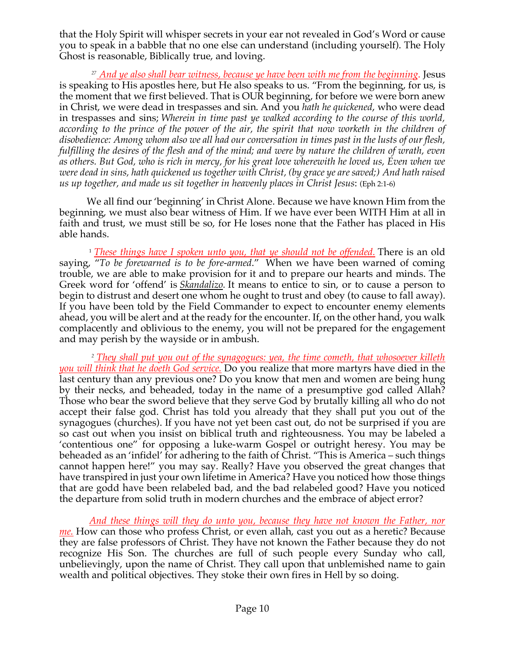that the Holy Spirit will whisper secrets in your ear not revealed in God's Word or cause you to speak in a babble that no one else can understand (including yourself). The Holy Ghost is reasonable, Biblically true, and loving.

*<sup>27</sup> And ye also shall bear witness, because ye have been with me from the beginning*. Jesus is speaking to His apostles here, but He also speaks to us. "From the beginning, for us, is the moment that we first believed. That is OUR beginning, for before we were born anew in Christ, we were dead in trespasses and sin. And you *hath he quickened*, who were dead in trespasses and sins; *Wherein in time past ye walked according to the course of this world,*  according to the prince of the power of the air, the spirit that now worketh in the children of *disobedience: Among whom also we all had our conversation in times past in the lusts of our flesh, fulfilling the desires of the flesh and of the mind; and were by nature the children of wrath, even as others. But God, who is rich in mercy, for his great love wherewith he loved us, Even when we were dead in sins, hath quickened us together with Christ, (by grace ye are saved;) And hath raised us up together, and made us sit together in heavenly places in Christ Jesus*: (Eph 2:1-6)

We all find our 'beginning' in Christ Alone. Because we have known Him from the beginning, we must also bear witness of Him. If we have ever been WITH Him at all in faith and trust, we must still be so, for He loses none that the Father has placed in His able hands.

<sup>1</sup> *These things have I spoken unto you, that ye should not be offended.* There is an old saying, "*To be forewarned is to be fore-armed*." When we have been warned of coming trouble, we are able to make provision for it and to prepare our hearts and minds. The Greek word for 'offend' is *Skandalizo.* It means to entice to sin, or to cause a person to begin to distrust and desert one whom he ought to trust and obey (to cause to fall away). If you have been told by the Field Commander to expect to encounter enemy elements ahead, you will be alert and at the ready for the encounter. If, on the other hand, you walk complacently and oblivious to the enemy, you will not be prepared for the engagement and may perish by the wayside or in ambush.

*<sup>2</sup> They shall put you out of the synagogues: yea, the time cometh, that whosoever killeth you will think that he doeth God service.* Do you realize that more martyrs have died in the last century than any previous one? Do you know that men and women are being hung by their necks, and beheaded, today in the name of a presumptive god called Allah? Those who bear the sword believe that they serve God by brutally killing all who do not accept their false god. Christ has told you already that they shall put you out of the synagogues (churches). If you have not yet been cast out, do not be surprised if you are so cast out when you insist on biblical truth and righteousness. You may be labeled a 'contentious one" for opposing a luke-warm Gospel or outright heresy. You may be beheaded as an 'infidel' for adhering to the faith of Christ. "This is America – such things cannot happen here!" you may say. Really? Have you observed the great changes that have transpired in just your own lifetime in America? Have you noticed how those things that are godd have been relabeled bad, and the bad relabeled good? Have you noticed the departure from solid truth in modern churches and the embrace of abject error?

*And these things will they do unto you, because they have not known the Father, nor me.* How can those who profess Christ, or even allah, cast you out as a heretic? Because they are false professors of Christ. They have not known the Father because they do not recognize His Son. The churches are full of such people every Sunday who call, unbelievingly, upon the name of Christ. They call upon that unblemished name to gain wealth and political objectives. They stoke their own fires in Hell by so doing.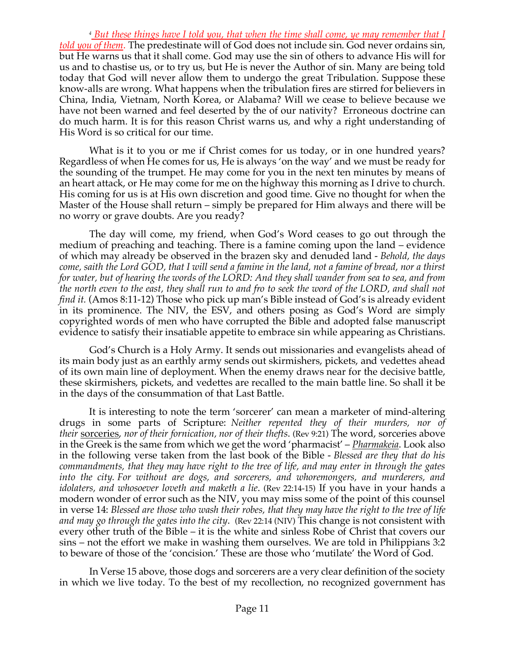*<sup>4</sup> But these things have I told you, that when the time shall come, ye may remember that I told you of them*. The predestinate will of God does not include sin. God never ordains sin, but He warns us that it shall come. God may use the sin of others to advance His will for us and to chastise us, or to try us, but He is never the Author of sin. Many are being told today that God will never allow them to undergo the great Tribulation. Suppose these know-alls are wrong. What happens when the tribulation fires are stirred for believers in China, India, Vietnam, North Korea, or Alabama? Will we cease to believe because we have not been warned and feel deserted by the of our nativity? Erroneous doctrine can do much harm. It is for this reason Christ warns us, and why a right understanding of His Word is so critical for our time.

What is it to you or me if Christ comes for us today, or in one hundred years? Regardless of when He comes for us, He is always 'on the way' and we must be ready for the sounding of the trumpet. He may come for you in the next ten minutes by means of an heart attack, or He may come for me on the highway this morning as I drive to church. His coming for us is at His own discretion and good time. Give no thought for when the Master of the House shall return – simply be prepared for Him always and there will be no worry or grave doubts. Are you ready?

The day will come, my friend, when God's Word ceases to go out through the medium of preaching and teaching. There is a famine coming upon the land – evidence of which may already be observed in the brazen sky and denuded land - *Behold, the days come, saith the Lord GOD, that I will send a famine in the land, not a famine of bread, nor a thirst for water, but of hearing the words of the LORD: And they shall wander from sea to sea, and from the north even to the east, they shall run to and fro to seek the word of the LORD, and shall not find it.* (Amos 8:11-12) Those who pick up man's Bible instead of God's is already evident in its prominence. The NIV, the ESV, and others posing as God's Word are simply copyrighted words of men who have corrupted the Bible and adopted false manuscript evidence to satisfy their insatiable appetite to embrace sin while appearing as Christians.

God's Church is a Holy Army. It sends out missionaries and evangelists ahead of its main body just as an earthly army sends out skirmishers, pickets, and vedettes ahead of its own main line of deployment. When the enemy draws near for the decisive battle, these skirmishers, pickets, and vedettes are recalled to the main battle line. So shall it be in the days of the consummation of that Last Battle.

It is interesting to note the term 'sorcerer' can mean a marketer of mind-altering drugs in some parts of Scripture: *Neither repented they of their murders, nor of their* sorceries, *nor of their fornication, nor of their thefts*. (Rev 9:21) The word, sorceries above in the Greek is the same from which we get the word 'pharmacist' – *Pharmakeia*. Look also in the following verse taken from the last book of the Bible - *Blessed are they that do his commandments, that they may have right to the tree of life, and may enter in through the gates into the city. For without are dogs, and sorcerers, and whoremongers, and murderers, and idolaters, and whosoever loveth and maketh a lie*. (Rev 22:14-15) If you have in your hands a modern wonder of error such as the NIV, you may miss some of the point of this counsel in verse 14: *Blessed are those who wash their robes, that they may have the right to the tree of life and may go through the gates into the city*. (Rev 22:14 (NIV) This change is not consistent with every other truth of the Bible – it is the white and sinless Robe of Christ that covers our sins – not the effort we make in washing them ourselves. We are told in Philippians 3:2 to beware of those of the 'concision.' These are those who 'mutilate' the Word of God.

In Verse 15 above, those dogs and sorcerers are a very clear definition of the society in which we live today. To the best of my recollection, no recognized government has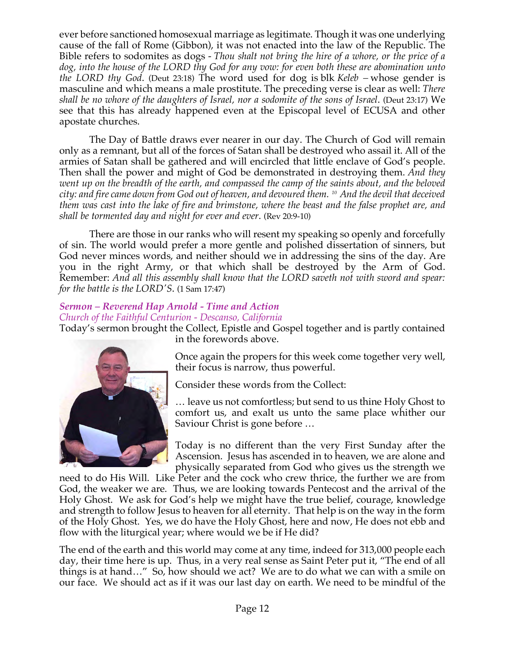ever before sanctioned homosexual marriage as legitimate. Though it was one underlying cause of the fall of Rome (Gibbon), it was not enacted into the law of the Republic. The Bible refers to sodomites as dogs - *Thou shalt not bring the hire of a whore, or the price of a dog, into the house of the LORD thy God for any vow: for even both these are abomination unto the LORD thy God*. (Deut 23:18) The word used for dog is blk *Keleb –* whose gender is masculine and which means a male prostitute. The preceding verse is clear as well: *There shall be no whore of the daughters of Israel, nor a sodomite of the sons of Israel*. (Deut 23:17) We see that this has already happened even at the Episcopal level of ECUSA and other apostate churches.

The Day of Battle draws ever nearer in our day. The Church of God will remain only as a remnant, but all of the forces of Satan shall be destroyed who assail it. All of the armies of Satan shall be gathered and will encircled that little enclave of God's people. Then shall the power and might of God be demonstrated in destroying them. *And they went up on the breadth of the earth, and compassed the camp of the saints about, and the beloved city: and fire came down from God out of heaven, and devoured them. <sup>10</sup> And the devil that deceived them was cast into the lake of fire and brimstone, where the beast and the false prophet are, and shall be tormented day and night for ever and ever*. (Rev 20:9-10)

There are those in our ranks who will resent my speaking so openly and forcefully of sin. The world would prefer a more gentle and polished dissertation of sinners, but God never minces words, and neither should we in addressing the sins of the day. Are you in the right Army, or that which shall be destroyed by the Arm of God. Remember: *And all this assembly shall know that the LORD saveth not with sword and spear: for the battle is the LORD'S*. (1 Sam 17:47)

# *Sermon – Reverend Hap Arnold - Time and Action*

*Church of the Faithful Centurion - Descanso, California*

Today's sermon brought the Collect, Epistle and Gospel together and is partly contained in the forewords above.



Once again the propers for this week come together very well, their focus is narrow, thus powerful.

Consider these words from the Collect:

… leave us not comfortless; but send to us thine Holy Ghost to comfort us, and exalt us unto the same place whither our Saviour Christ is gone before …

Today is no different than the very First Sunday after the Ascension. Jesus has ascended in to heaven, we are alone and physically separated from God who gives us the strength we

need to do His Will. Like Peter and the cock who crew thrice, the further we are from God, the weaker we are. Thus, we are looking towards Pentecost and the arrival of the Holy Ghost. We ask for God's help we might have the true belief, courage, knowledge and strength to follow Jesus to heaven for all eternity. That help is on the way in the form of the Holy Ghost. Yes, we do have the Holy Ghost, here and now, He does not ebb and flow with the liturgical year; where would we be if He did?

The end of the earth and this world may come at any time, indeed for 313,000 people each day, their time here is up. Thus, in a very real sense as Saint Peter put it, "The end of all things is at hand…" So, how should we act? We are to do what we can with a smile on our face. We should act as if it was our last day on earth. We need to be mindful of the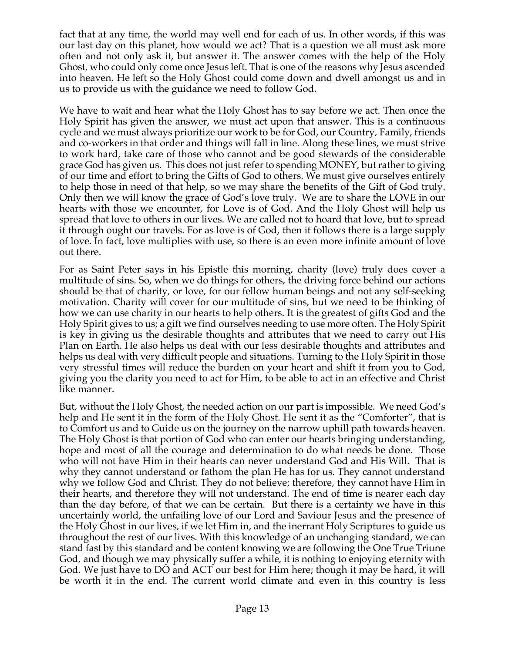fact that at any time, the world may well end for each of us. In other words, if this was our last day on this planet, how would we act? That is a question we all must ask more often and not only ask it, but answer it. The answer comes with the help of the Holy Ghost, who could only come once Jesus left. That is one of the reasons why Jesus ascended into heaven. He left so the Holy Ghost could come down and dwell amongst us and in us to provide us with the guidance we need to follow God.

We have to wait and hear what the Holy Ghost has to say before we act. Then once the Holy Spirit has given the answer, we must act upon that answer. This is a continuous cycle and we must always prioritize our work to be for God, our Country, Family, friends and co-workers in that order and things will fall in line. Along these lines, we must strive to work hard, take care of those who cannot and be good stewards of the considerable grace God has given us. This does not just refer to spending MONEY, but rather to giving of our time and effort to bring the Gifts of God to others. We must give ourselves entirely to help those in need of that help, so we may share the benefits of the Gift of God truly. Only then we will know the grace of God's love truly. We are to share the LOVE in our hearts with those we encounter, for Love is of God. And the Holy Ghost will help us spread that love to others in our lives. We are called not to hoard that love, but to spread it through ought our travels. For as love is of God, then it follows there is a large supply of love. In fact, love multiplies with use, so there is an even more infinite amount of love out there.

For as Saint Peter says in his Epistle this morning, charity (love) truly does cover a multitude of sins. So, when we do things for others, the driving force behind our actions should be that of charity, or love, for our fellow human beings and not any self-seeking motivation. Charity will cover for our multitude of sins, but we need to be thinking of how we can use charity in our hearts to help others. It is the greatest of gifts God and the Holy Spirit gives to us; a gift we find ourselves needing to use more often. The Holy Spirit is key in giving us the desirable thoughts and attributes that we need to carry out His Plan on Earth. He also helps us deal with our less desirable thoughts and attributes and helps us deal with very difficult people and situations. Turning to the Holy Spirit in those very stressful times will reduce the burden on your heart and shift it from you to God, giving you the clarity you need to act for Him, to be able to act in an effective and Christ like manner.

But, without the Holy Ghost, the needed action on our part is impossible. We need God's help and He sent it in the form of the Holy Ghost. He sent it as the "Comforter", that is to Comfort us and to Guide us on the journey on the narrow uphill path towards heaven. The Holy Ghost is that portion of God who can enter our hearts bringing understanding, hope and most of all the courage and determination to do what needs be done. Those who will not have Him in their hearts can never understand God and His Will. That is why they cannot understand or fathom the plan He has for us. They cannot understand why we follow God and Christ. They do not believe; therefore, they cannot have Him in their hearts, and therefore they will not understand. The end of time is nearer each day than the day before, of that we can be certain. But there is a certainty we have in this uncertainly world, the unfailing love of our Lord and Saviour Jesus and the presence of the Holy Ghost in our lives, if we let Him in, and the inerrant Holy Scriptures to guide us throughout the rest of our lives. With this knowledge of an unchanging standard, we can stand fast by this standard and be content knowing we are following the One True Triune God, and though we may physically suffer a while, it is nothing to enjoying eternity with God. We just have to DO and ACT our best for Him here; though it may be hard, it will be worth it in the end. The current world climate and even in this country is less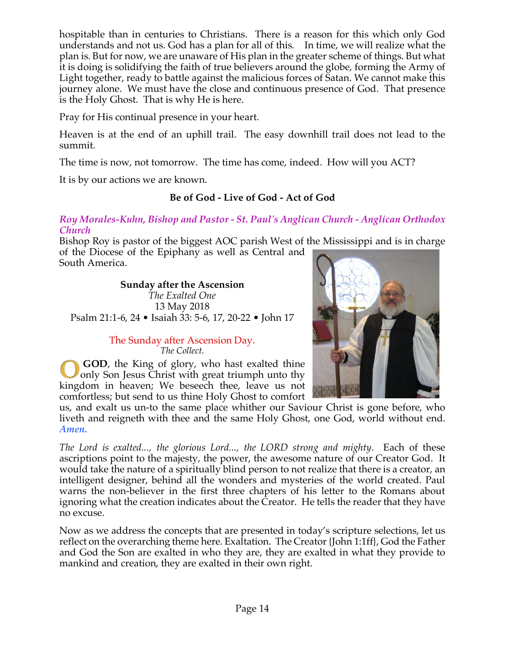hospitable than in centuries to Christians. There is a reason for this which only God understands and not us. God has a plan for all of this. In time, we will realize what the plan is. But for now, we are unaware of His plan in the greater scheme of things. But what it is doing is solidifying the faith of true believers around the globe, forming the Army of Light together, ready to battle against the malicious forces of Satan. We cannot make this journey alone. We must have the close and continuous presence of God. That presence is the Holy Ghost. That is why He is here.

Pray for His continual presence in your heart.

Heaven is at the end of an uphill trail. The easy downhill trail does not lead to the summit.

The time is now, not tomorrow. The time has come, indeed. How will you ACT?

It is by our actions we are known.

# **Be of God - Live of God - Act of God**

*Roy Morales-Kuhn, Bishop and Pastor - St. Paul's Anglican Church - Anglican Orthodox Church*

Bishop Roy is pastor of the biggest AOC parish West of the Mississippi and is in charge of the Diocese of the Epiphany as well as Central and South America.

## **Sunday after the Ascension**

*The Exalted One* 13 May 2018 Psalm 21:1-6, 24 • Isaiah 33: 5-6, 17, 20-22 • John 17

## The Sunday after Ascension Day. *The Collect.*

**GOD**, the King of glory, who hast exalted thine only Son Jesus Christ with great triumph unto thy kingdom in heaven; We beseech thee, leave us not comfortless; but send to us thine Holy Ghost to comfort

us, and exalt us un-to the same place whither our Saviour Christ is gone before, who liveth and reigneth with thee and the same Holy Ghost, one God, world without end. *Amen.*

*The Lord is exalted..., the glorious Lord..., the LORD strong and mighty*. Each of these ascriptions point to the majesty, the power, the awesome nature of our Creator God. It would take the nature of a spiritually blind person to not realize that there is a creator, an intelligent designer, behind all the wonders and mysteries of the world created. Paul warns the non-believer in the first three chapters of his letter to the Romans about ignoring what the creation indicates about the Creator. He tells the reader that they have no excuse.

Now as we address the concepts that are presented in today's scripture selections, let us reflect on the overarching theme here. Exaltation. The Creator {John 1:1ff}, God the Father and God the Son are exalted in who they are, they are exalted in what they provide to mankind and creation, they are exalted in their own right.

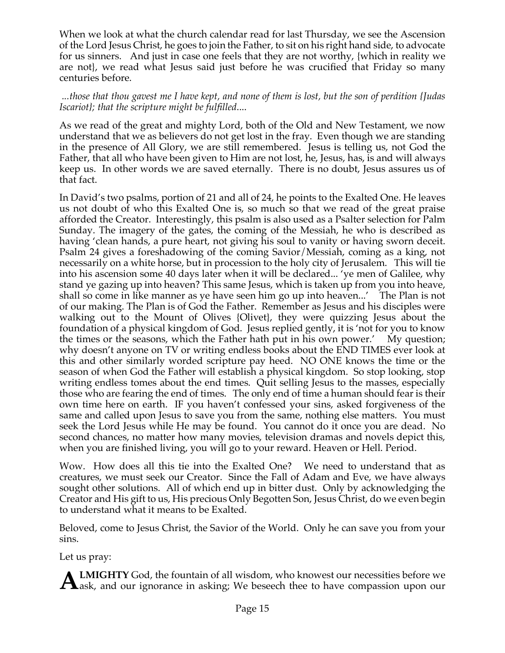When we look at what the church calendar read for last Thursday, we see the Ascension of the Lord Jesus Christ, he goes to join the Father, to sit on his right hand side, to advocate for us sinners. And just in case one feels that they are not worthy, {which in reality we are not}, we read what Jesus said just before he was crucified that Friday so many centuries before.

## *...those that thou gavest me I have kept, and none of them is lost, but the son of perdition {Judas Iscariot}; that the scripture might be fulfilled*....

As we read of the great and mighty Lord, both of the Old and New Testament, we now understand that we as believers do not get lost in the fray. Even though we are standing in the presence of All Glory, we are still remembered. Jesus is telling us, not God the Father, that all who have been given to Him are not lost, he, Jesus, has, is and will always keep us. In other words we are saved eternally. There is no doubt, Jesus assures us of that fact.

In David's two psalms, portion of 21 and all of 24, he points to the Exalted One. He leaves us not doubt of who this Exalted One is, so much so that we read of the great praise afforded the Creator. Interestingly, this psalm is also used as a Psalter selection for Palm Sunday. The imagery of the gates, the coming of the Messiah, he who is described as having 'clean hands, a pure heart, not giving his soul to vanity or having sworn deceit. Psalm 24 gives a foreshadowing of the coming Savior/Messiah, coming as a king, not necessarily on a white horse, but in procession to the holy city of Jerusalem. This will tie into his ascension some 40 days later when it will be declared... 'ye men of Galilee, why stand ye gazing up into heaven? This same Jesus, which is taken up from you into heave, shall so come in like manner as ye have seen him go up into heaven...' The Plan is not of our making. The Plan is of God the Father. Remember as Jesus and his disciples were walking out to the Mount of Olives {Olivet}, they were quizzing Jesus about the foundation of a physical kingdom of God. Jesus replied gently, it is 'not for you to know the times or the seasons, which the Father hath put in his own power.' My question; why doesn't anyone on TV or writing endless books about the END TIMES ever look at this and other similarly worded scripture pay heed. NO ONE knows the time or the season of when God the Father will establish a physical kingdom. So stop looking, stop writing endless tomes about the end times. Quit selling Jesus to the masses, especially those who are fearing the end of times. The only end of time a human should fear is their own time here on earth. IF you haven't confessed your sins, asked forgiveness of the same and called upon Jesus to save you from the same, nothing else matters. You must seek the Lord Jesus while He may be found. You cannot do it once you are dead. No second chances, no matter how many movies, television dramas and novels depict this, when you are finished living, you will go to your reward. Heaven or Hell. Period.

Wow. How does all this tie into the Exalted One? We need to understand that as creatures, we must seek our Creator. Since the Fall of Adam and Eve, we have always sought other solutions. All of which end up in bitter dust. Only by acknowledging the Creator and His gift to us, His precious Only Begotten Son, Jesus Christ, do we even begin to understand what it means to be Exalted.

Beloved, come to Jesus Christ, the Savior of the World. Only he can save you from your sins.

Let us pray:

**ALMIGHTY** God, the fountain of all wisdom, who knowest our necessities before we also ask, and our ignorance in asking; We beseech thee to have compassion upon our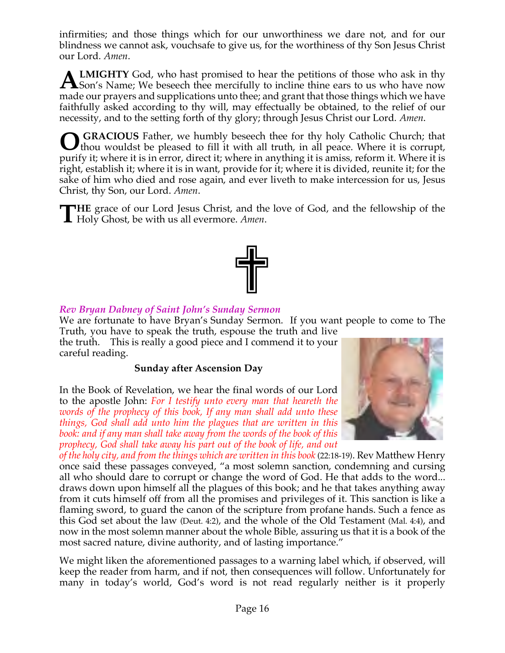infirmities; and those things which for our unworthiness we dare not, and for our blindness we cannot ask, vouchsafe to give us, for the worthiness of thy Son Jesus Christ our Lord. *Amen*.

**LMIGHTY** God, who hast promised to hear the petitions of those who ask in thy **ALMIGHTY** God, who hast promised to hear the petitions of those who ask in thy Son's Name; We beseech thee mercifully to incline thine ears to us who have now  $\frac{1}{2}$ made our prayers and supplications unto thee; and grant that those things which we have faithfully asked according to thy will, may effectually be obtained, to the relief of our necessity, and to the setting forth of thy glory; through Jesus Christ our Lord. *Amen*.

**GRACIOUS** Father, we humbly beseech thee for thy holy Catholic Church; that thou wouldst be pleased to fill it with all truth, in all peace. Where it is corrupt, purify it; where it is in error, direct it; where in anything it is amiss, reform it. Where it is right, establish it; where it is in want, provide for it; where it is divided, reunite it; for the sake of him who died and rose again, and ever liveth to make intercession for us, Jesus Christ, thy Son, our Lord. *Amen*. **O**

**HE** grace of our Lord Jesus Christ, and the love of God, and the fellowship of the **THE** grace of our Lord Jesus Christ, and the Holy Ghost, be with us all evermore. Amen.



## *Rev Bryan Dabney of Saint John's Sunday Sermon*

We are fortunate to have Bryan's Sunday Sermon. If you want people to come to The Truth, you have to speak the truth, espouse the truth and live

the truth. This is really a good piece and I commend it to your careful reading.

### **Sunday after Ascension Day**

In the Book of Revelation, we hear the final words of our Lord to the apostle John: *For I testify unto every man that heareth the words of the prophecy of this book, If any man shall add unto these things, God shall add unto him the plagues that are written in this book: and if any man shall take away from the words of the book of this prophecy, God shall take away his part out of the book of life, and out* 



*of the holy city, and from the things which are written in this book* (22:18-19). Rev Matthew Henry once said these passages conveyed, "a most solemn sanction, condemning and cursing all who should dare to corrupt or change the word of God. He that adds to the word... draws down upon himself all the plagues of this book; and he that takes anything away from it cuts himself off from all the promises and privileges of it. This sanction is like a flaming sword, to guard the canon of the scripture from profane hands. Such a fence as this God set about the law (Deut. 4:2), and the whole of the Old Testament (Mal. 4:4), and now in the most solemn manner about the whole Bible, assuring us that it is a book of the most sacred nature, divine authority, and of lasting importance."

We might liken the aforementioned passages to a warning label which, if observed, will keep the reader from harm, and if not, then consequences will follow. Unfortunately for many in today's world, God's word is not read regularly neither is it properly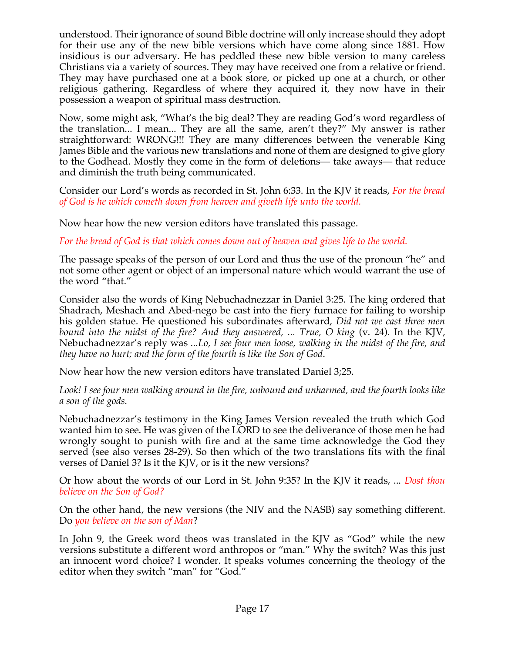understood. Their ignorance of sound Bible doctrine will only increase should they adopt for their use any of the new bible versions which have come along since 1881. How insidious is our adversary. He has peddled these new bible version to many careless Christians via a variety of sources. They may have received one from a relative or friend. They may have purchased one at a book store, or picked up one at a church, or other religious gathering. Regardless of where they acquired it, they now have in their possession a weapon of spiritual mass destruction.

Now, some might ask, "What's the big deal? They are reading God's word regardless of the translation... I mean... They are all the same, aren't they?" My answer is rather straightforward: WRONG!!! They are many differences between the venerable King James Bible and the various new translations and none of them are designed to give glory to the Godhead. Mostly they come in the form of deletions— take aways— that reduce and diminish the truth being communicated.

Consider our Lord's words as recorded in St. John 6:33. In the KJV it reads, *For the bread of God is he which cometh down from heaven and giveth life unto the world.*

Now hear how the new version editors have translated this passage.

*For the bread of God is that which comes down out of heaven and gives life to the world.*

The passage speaks of the person of our Lord and thus the use of the pronoun "he" and not some other agent or object of an impersonal nature which would warrant the use of the word "that."

Consider also the words of King Nebuchadnezzar in Daniel 3:25. The king ordered that Shadrach, Meshach and Abed-nego be cast into the fiery furnace for failing to worship his golden statue. He questioned his subordinates afterward*, Did not we cast three men bound into the midst of the fire? And they answered, ... True, O king* (v. 24). In the KJV, Nebuchadnezzar's reply was *...Lo, I see four men loose, walking in the midst of the fire, and they have no hurt; and the form of the fourth is like the Son of God*.

Now hear how the new version editors have translated Daniel 3;25.

*Look! I see four men walking around in the fire, unbound and unharmed, and the fourth looks like a son of the gods.*

Nebuchadnezzar's testimony in the King James Version revealed the truth which God wanted him to see. He was given of the LORD to see the deliverance of those men he had wrongly sought to punish with fire and at the same time acknowledge the God they served (see also verses 28-29). So then which of the two translations fits with the final verses of Daniel 3? Is it the KJV, or is it the new versions?

Or how about the words of our Lord in St. John 9:35? In the KJV it reads, ... *Dost thou believe on the Son of God?*

On the other hand, the new versions (the NIV and the NASB) say something different. Do *you believe on the son of Man*?

In John 9, the Greek word theos was translated in the KJV as "God" while the new versions substitute a different word anthropos or "man." Why the switch? Was this just an innocent word choice? I wonder. It speaks volumes concerning the theology of the editor when they switch "man" for "God."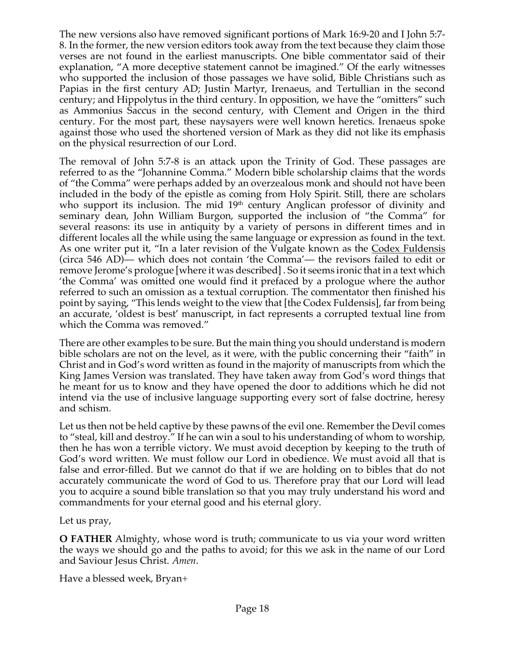The new versions also have removed significant portions of Mark 16:9-20 and I John 5:7- 8. In the former, the new version editors took away from the text because they claim those verses are not found in the earliest manuscripts. One bible commentator said of their explanation, "A more deceptive statement cannot be imagined." Of the early witnesses who supported the inclusion of those passages we have solid, Bible Christians such as Papias in the first century AD; Justin Martyr, Irenaeus, and Tertullian in the second century; and Hippolytus in the third century. In opposition, we have the "omitters" such as Ammonius Saccus in the second century, with Clement and Origen in the third century. For the most part, these naysayers were well known heretics. Irenaeus spoke against those who used the shortened version of Mark as they did not like its emphasis on the physical resurrection of our Lord.

The removal of John 5:7-8 is an attack upon the Trinity of God. These passages are referred to as the "Johannine Comma." Modern bible scholarship claims that the words of "the Comma" were perhaps added by an overzealous monk and should not have been included in the body of the epistle as coming from Holy Spirit. Still, there are scholars who support its inclusion. The mid  $19<sup>th</sup>$  century Anglican professor of divinity and seminary dean, John William Burgon, supported the inclusion of "the Comma" for several reasons: its use in antiquity by a variety of persons in different times and in different locales all the while using the same language or expression as found in the text. As one writer put it, "In a later revision of the Vulgate known as the Codex Fuldensis (circa 546 AD)— which does not contain 'the Comma'— the revisors failed to edit or remove Jerome's prologue [where it was described] . So it seems ironic that in a text which 'the Comma' was omitted one would find it prefaced by a prologue where the author referred to such an omission as a textual corruption. The commentator then finished his point by saying, "This lends weight to the view that [the Codex Fuldensis], far from being an accurate, 'oldest is best' manuscript, in fact represents a corrupted textual line from which the Comma was removed."

There are other examples to be sure. But the main thing you should understand is modern bible scholars are not on the level, as it were, with the public concerning their "faith" in Christ and in God's word written as found in the majority of manuscripts from which the King James Version was translated. They have taken away from God's word things that he meant for us to know and they have opened the door to additions which he did not intend via the use of inclusive language supporting every sort of false doctrine, heresy and schism.

Let us then not be held captive by these pawns of the evil one. Remember the Devil comes to "steal, kill and destroy." If he can win a soul to his understanding of whom to worship, then he has won a terrible victory. We must avoid deception by keeping to the truth of God's word written. We must follow our Lord in obedience. We must avoid all that is false and error-filled. But we cannot do that if we are holding on to bibles that do not accurately communicate the word of God to us. Therefore pray that our Lord will lead you to acquire a sound bible translation so that you may truly understand his word and commandments for your eternal good and his eternal glory.

Let us pray,

**O FATHER** Almighty, whose word is truth; communicate to us via your word written the ways we should go and the paths to avoid; for this we ask in the name of our Lord and Saviour Jesus Christ. *Amen*.

Have a blessed week, Bryan+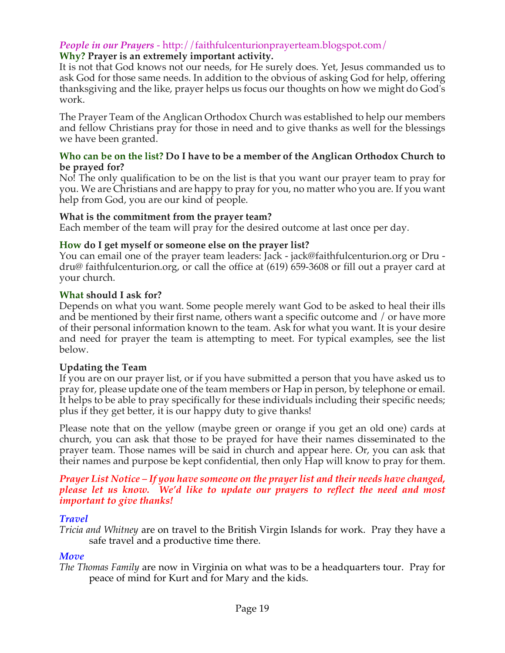## *People in our Prayers* - http://faithfulcenturionprayerteam.blogspot.com/

### **Why? Prayer is an extremely important activity.**

It is not that God knows not our needs, for He surely does. Yet, Jesus commanded us to ask God for those same needs. In addition to the obvious of asking God for help, offering thanksgiving and the like, prayer helps us focus our thoughts on how we might do God's work.

The Prayer Team of the Anglican Orthodox Church was established to help our members and fellow Christians pray for those in need and to give thanks as well for the blessings we have been granted.

#### **Who can be on the list? Do I have to be a member of the Anglican Orthodox Church to be prayed for?**

No! The only qualification to be on the list is that you want our prayer team to pray for you. We are Christians and are happy to pray for you, no matter who you are. If you want help from God, you are our kind of people.

#### **What is the commitment from the prayer team?**

Each member of the team will pray for the desired outcome at last once per day.

#### **How do I get myself or someone else on the prayer list?**

You can email one of the prayer team leaders: Jack - jack@faithfulcenturion.org or Dru dru@ faithfulcenturion.org, or call the office at (619) 659-3608 or fill out a prayer card at your church.

#### **What should I ask for?**

Depends on what you want. Some people merely want God to be asked to heal their ills and be mentioned by their first name, others want a specific outcome and / or have more of their personal information known to the team. Ask for what you want. It is your desire and need for prayer the team is attempting to meet. For typical examples, see the list below.

### **Updating the Team**

If you are on our prayer list, or if you have submitted a person that you have asked us to pray for, please update one of the team members or Hap in person, by telephone or email. It helps to be able to pray specifically for these individuals including their specific needs; plus if they get better, it is our happy duty to give thanks!

Please note that on the yellow (maybe green or orange if you get an old one) cards at church, you can ask that those to be prayed for have their names disseminated to the prayer team. Those names will be said in church and appear here. Or, you can ask that their names and purpose be kept confidential, then only Hap will know to pray for them.

*Prayer List Notice – If you have someone on the prayer list and their needs have changed, please let us know. We'd like to update our prayers to reflect the need and most important to give thanks!*

### *Travel*

*Tricia and Whitney* are on travel to the British Virgin Islands for work. Pray they have a safe travel and a productive time there.

### *Move*

*The Thomas Family* are now in Virginia on what was to be a headquarters tour. Pray for peace of mind for Kurt and for Mary and the kids.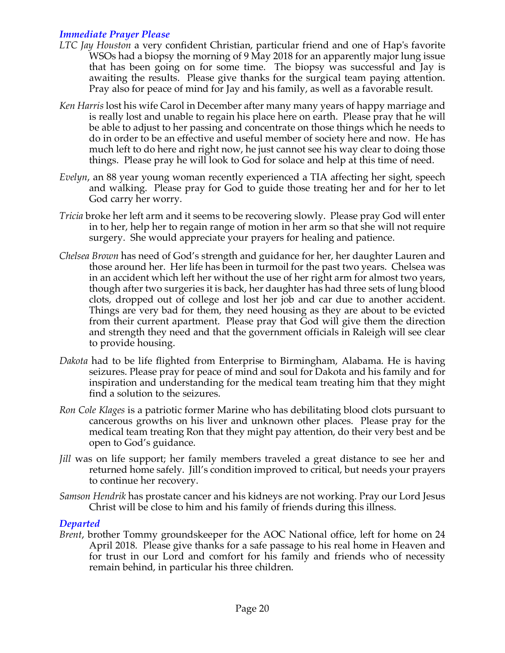## *Immediate Prayer Please*

- *LTC Jay Houston* a very confident Christian, particular friend and one of Hap's favorite WSOs had a biopsy the morning of 9 May 2018 for an apparently major lung issue that has been going on for some time. The biopsy was successful and Jay is awaiting the results. Please give thanks for the surgical team paying attention. Pray also for peace of mind for Jay and his family, as well as a favorable result.
- *Ken Harris* lost his wife Carol in December after many many years of happy marriage and is really lost and unable to regain his place here on earth. Please pray that he will be able to adjust to her passing and concentrate on those things which he needs to do in order to be an effective and useful member of society here and now. He has much left to do here and right now, he just cannot see his way clear to doing those things. Please pray he will look to God for solace and help at this time of need.
- *Evelyn*, an 88 year young woman recently experienced a TIA affecting her sight, speech and walking. Please pray for God to guide those treating her and for her to let God carry her worry.
- *Tricia* broke her left arm and it seems to be recovering slowly. Please pray God will enter in to her, help her to regain range of motion in her arm so that she will not require surgery. She would appreciate your prayers for healing and patience.
- *Chelsea Brown* has need of God's strength and guidance for her, her daughter Lauren and those around her. Her life has been in turmoil for the past two years. Chelsea was in an accident which left her without the use of her right arm for almost two years, though after two surgeries it is back, her daughter has had three sets of lung blood clots, dropped out of college and lost her job and car due to another accident. Things are very bad for them, they need housing as they are about to be evicted from their current apartment. Please pray that God will give them the direction and strength they need and that the government officials in Raleigh will see clear to provide housing.
- *Dakota* had to be life flighted from Enterprise to Birmingham, Alabama. He is having seizures. Please pray for peace of mind and soul for Dakota and his family and for inspiration and understanding for the medical team treating him that they might find a solution to the seizures.
- *Ron Cole Klages* is a patriotic former Marine who has debilitating blood clots pursuant to cancerous growths on his liver and unknown other places. Please pray for the medical team treating Ron that they might pay attention, do their very best and be open to God's guidance.
- *Jill* was on life support; her family members traveled a great distance to see her and returned home safely. Jill's condition improved to critical, but needs your prayers to continue her recovery.
- *Samson Hendrik* has prostate cancer and his kidneys are not working. Pray our Lord Jesus Christ will be close to him and his family of friends during this illness.

### *Departed*

*Brent*, brother Tommy groundskeeper for the AOC National office, left for home on 24 April 2018. Please give thanks for a safe passage to his real home in Heaven and for trust in our Lord and comfort for his family and friends who of necessity remain behind, in particular his three children.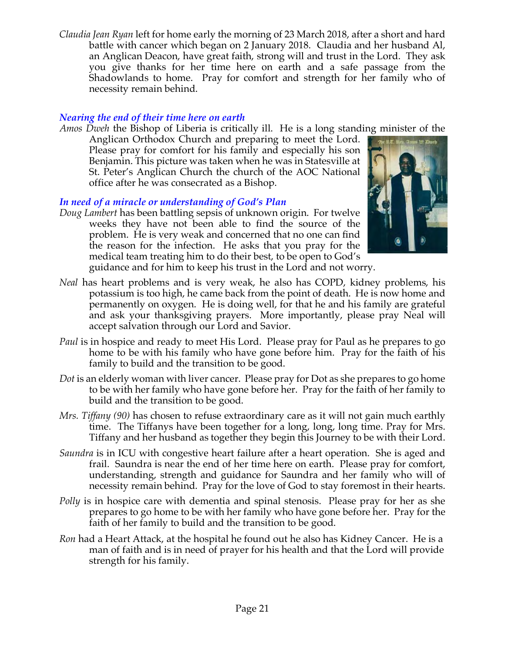*Claudia Jean Ryan* left for home early the morning of 23 March 2018, after a short and hard battle with cancer which began on 2 January 2018. Claudia and her husband Al, an Anglican Deacon, have great faith, strong will and trust in the Lord. They ask you give thanks for her time here on earth and a safe passage from the Shadowlands to home. Pray for comfort and strength for her family who of necessity remain behind.

## *Nearing the end of their time here on earth*

*Amos Dweh* the Bishop of Liberia is critically ill. He is a long standing minister of the

Anglican Orthodox Church and preparing to meet the Lord. Please pray for comfort for his family and especially his son Benjamin. This picture was taken when he was in Statesville at St. Peter's Anglican Church the church of the AOC National office after he was consecrated as a Bishop.

# *In need of a miracle or understanding of God's Plan*

*Doug Lambert* has been battling sepsis of unknown origin. For twelve weeks they have not been able to find the source of the problem. He is very weak and concerned that no one can find the reason for the infection. He asks that you pray for the medical team treating him to do their best, to be open to God's



guidance and for him to keep his trust in the Lord and not worry.

- *Neal* has heart problems and is very weak, he also has COPD, kidney problems, his potassium is too high, he came back from the point of death. He is now home and permanently on oxygen. He is doing well, for that he and his family are grateful and ask your thanksgiving prayers. More importantly, please pray Neal will accept salvation through our Lord and Savior.
- *Paul* is in hospice and ready to meet His Lord. Please pray for Paul as he prepares to go home to be with his family who have gone before him. Pray for the faith of his family to build and the transition to be good.
- *Dot* is an elderly woman with liver cancer. Please pray for Dot as she prepares to go home to be with her family who have gone before her. Pray for the faith of her family to build and the transition to be good.
- *Mrs. Tiffany (90)* has chosen to refuse extraordinary care as it will not gain much earthly time. The Tiffanys have been together for a long, long, long time. Pray for Mrs. Tiffany and her husband as together they begin this Journey to be with their Lord.
- *Saundra* is in ICU with congestive heart failure after a heart operation. She is aged and frail. Saundra is near the end of her time here on earth. Please pray for comfort, understanding, strength and guidance for Saundra and her family who will of necessity remain behind. Pray for the love of God to stay foremost in their hearts.
- *Polly* is in hospice care with dementia and spinal stenosis. Please pray for her as she prepares to go home to be with her family who have gone before her. Pray for the faith of her family to build and the transition to be good.
- *Ron* had a Heart Attack, at the hospital he found out he also has Kidney Cancer. He is a man of faith and is in need of prayer for his health and that the Lord will provide strength for his family.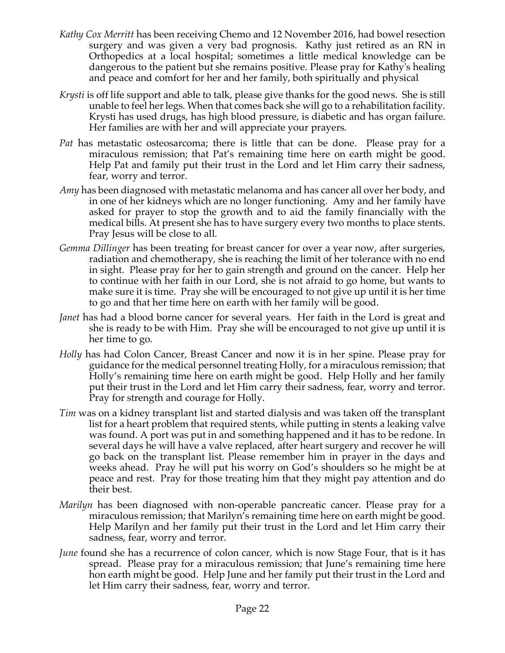- *Kathy Cox Merritt* has been receiving Chemo and 12 November 2016, had bowel resection surgery and was given a very bad prognosis. Kathy just retired as an RN in Orthopedics at a local hospital; sometimes a little medical knowledge can be dangerous to the patient but she remains positive. Please pray for Kathy's healing and peace and comfort for her and her family, both spiritually and physical
- *Krysti* is off life support and able to talk, please give thanks for the good news. She is still unable to feel her legs. When that comes back she will go to a rehabilitation facility. Krysti has used drugs, has high blood pressure, is diabetic and has organ failure. Her families are with her and will appreciate your prayers.
- *Pat* has metastatic osteosarcoma; there is little that can be done. Please pray for a miraculous remission; that Pat's remaining time here on earth might be good. Help Pat and family put their trust in the Lord and let Him carry their sadness, fear, worry and terror.
- *Amy* has been diagnosed with metastatic melanoma and has cancer all over her body, and in one of her kidneys which are no longer functioning. Amy and her family have asked for prayer to stop the growth and to aid the family financially with the medical bills. At present she has to have surgery every two months to place stents. Pray Jesus will be close to all.
- *Gemma Dillinger* has been treating for breast cancer for over a year now, after surgeries, radiation and chemotherapy, she is reaching the limit of her tolerance with no end in sight. Please pray for her to gain strength and ground on the cancer. Help her to continue with her faith in our Lord, she is not afraid to go home, but wants to make sure it is time. Pray she will be encouraged to not give up until it is her time to go and that her time here on earth with her family will be good.
- *Janet* has had a blood borne cancer for several years. Her faith in the Lord is great and she is ready to be with Him. Pray she will be encouraged to not give up until it is her time to go.
- *Holly* has had Colon Cancer, Breast Cancer and now it is in her spine. Please pray for guidance for the medical personnel treating Holly, for a miraculous remission; that Holly's remaining time here on earth might be good. Help Holly and her family put their trust in the Lord and let Him carry their sadness, fear, worry and terror. Pray for strength and courage for Holly.
- *Tim* was on a kidney transplant list and started dialysis and was taken off the transplant list for a heart problem that required stents, while putting in stents a leaking valve was found. A port was put in and something happened and it has to be redone. In several days he will have a valve replaced, after heart surgery and recover he will go back on the transplant list. Please remember him in prayer in the days and weeks ahead. Pray he will put his worry on God's shoulders so he might be at peace and rest. Pray for those treating him that they might pay attention and do their best.
- *Marilyn* has been diagnosed with non-operable pancreatic cancer. Please pray for a miraculous remission; that Marilyn's remaining time here on earth might be good. Help Marilyn and her family put their trust in the Lord and let Him carry their sadness, fear, worry and terror.
- *June* found she has a recurrence of colon cancer, which is now Stage Four, that is it has spread. Please pray for a miraculous remission; that June's remaining time here hon earth might be good. Help June and her family put their trust in the Lord and let Him carry their sadness, fear, worry and terror.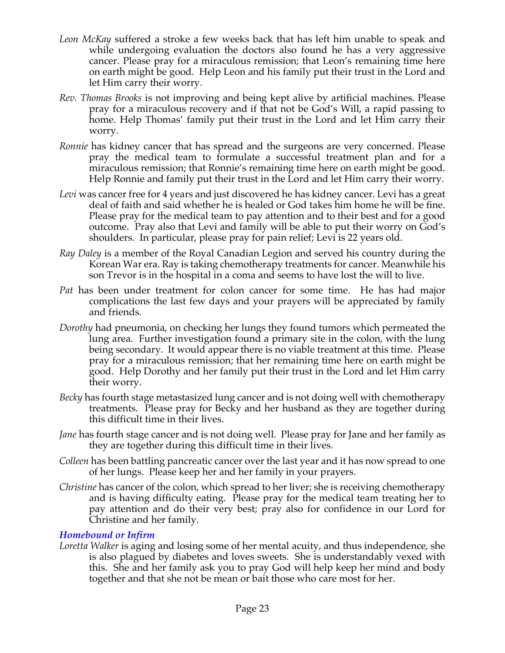- *Leon McKay* suffered a stroke a few weeks back that has left him unable to speak and while undergoing evaluation the doctors also found he has a very aggressive cancer. Please pray for a miraculous remission; that Leon's remaining time here on earth might be good. Help Leon and his family put their trust in the Lord and let Him carry their worry.
- *Rev. Thomas Brooks* is not improving and being kept alive by artificial machines. Please pray for a miraculous recovery and if that not be God's Will, a rapid passing to home. Help Thomas' family put their trust in the Lord and let Him carry their worry.
- *Ronnie* has kidney cancer that has spread and the surgeons are very concerned. Please pray the medical team to formulate a successful treatment plan and for a miraculous remission; that Ronnie's remaining time here on earth might be good. Help Ronnie and family put their trust in the Lord and let Him carry their worry.
- Levi was cancer free for 4 years and just discovered he has kidney cancer. Levi has a great deal of faith and said whether he is healed or God takes him home he will be fine. Please pray for the medical team to pay attention and to their best and for a good outcome. Pray also that Levi and family will be able to put their worry on God's shoulders. In particular, please pray for pain relief; Levi is 22 years old.
- *Ray Daley* is a member of the Royal Canadian Legion and served his country during the Korean War era. Ray is taking chemotherapy treatments for cancer. Meanwhile his son Trevor is in the hospital in a coma and seems to have lost the will to live.
- *Pat* has been under treatment for colon cancer for some time. He has had major complications the last few days and your prayers will be appreciated by family and friends.
- *Dorothy* had pneumonia, on checking her lungs they found tumors which permeated the lung area. Further investigation found a primary site in the colon, with the lung being secondary. It would appear there is no viable treatment at this time. Please pray for a miraculous remission; that her remaining time here on earth might be good. Help Dorothy and her family put their trust in the Lord and let Him carry their worry.
- *Becky* has fourth stage metastasized lung cancer and is not doing well with chemotherapy treatments. Please pray for Becky and her husband as they are together during this difficult time in their lives.
- *Jane* has fourth stage cancer and is not doing well. Please pray for Jane and her family as they are together during this difficult time in their lives.
- *Colleen* has been battling pancreatic cancer over the last year and it has now spread to one of her lungs. Please keep her and her family in your prayers.
- *Christine* has cancer of the colon, which spread to her liver; she is receiving chemotherapy and is having difficulty eating. Please pray for the medical team treating her to pay attention and do their very best; pray also for confidence in our Lord for Christine and her family.

### *Homebound or Infirm*

*Loretta Walker* is aging and losing some of her mental acuity, and thus independence, she is also plagued by diabetes and loves sweets. She is understandably vexed with this. She and her family ask you to pray God will help keep her mind and body together and that she not be mean or bait those who care most for her.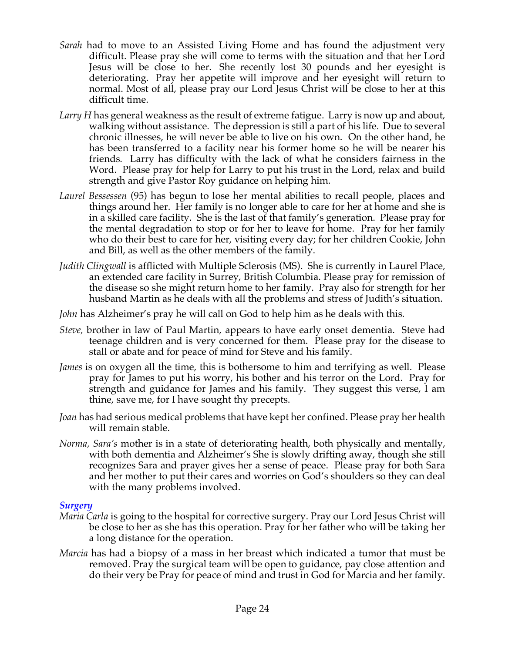- *Sarah* had to move to an Assisted Living Home and has found the adjustment very difficult. Please pray she will come to terms with the situation and that her Lord Jesus will be close to her. She recently lost 30 pounds and her eyesight is deteriorating. Pray her appetite will improve and her eyesight will return to normal. Most of all, please pray our Lord Jesus Christ will be close to her at this difficult time.
- *Larry H* has general weakness as the result of extreme fatigue. Larry is now up and about, walking without assistance. The depression is still a part of his life. Due to several chronic illnesses, he will never be able to live on his own. On the other hand, he has been transferred to a facility near his former home so he will be nearer his friends. Larry has difficulty with the lack of what he considers fairness in the Word. Please pray for help for Larry to put his trust in the Lord, relax and build strength and give Pastor Roy guidance on helping him.
- *Laurel Bessessen* (95) has begun to lose her mental abilities to recall people, places and things around her. Her family is no longer able to care for her at home and she is in a skilled care facility. She is the last of that family's generation. Please pray for the mental degradation to stop or for her to leave for home. Pray for her family who do their best to care for her, visiting every day; for her children Cookie, John and Bill, as well as the other members of the family.
- *Judith Clingwall* is afflicted with Multiple Sclerosis (MS). She is currently in Laurel Place, an extended care facility in Surrey, British Columbia. Please pray for remission of the disease so she might return home to her family. Pray also for strength for her husband Martin as he deals with all the problems and stress of Judith's situation.
- *John* has Alzheimer's pray he will call on God to help him as he deals with this.
- *Steve,* brother in law of Paul Martin, appears to have early onset dementia. Steve had teenage children and is very concerned for them. Please pray for the disease to stall or abate and for peace of mind for Steve and his family.
- *James* is on oxygen all the time, this is bothersome to him and terrifying as well. Please pray for James to put his worry, his bother and his terror on the Lord. Pray for strength and guidance for James and his family. They suggest this verse, I am thine, save me, for I have sought thy precepts.
- *Joan* has had serious medical problems that have kept her confined. Please pray her health will remain stable.
- *Norma, Sara's* mother is in a state of deteriorating health, both physically and mentally, with both dementia and Alzheimer's She is slowly drifting away, though she still recognizes Sara and prayer gives her a sense of peace. Please pray for both Sara and her mother to put their cares and worries on God's shoulders so they can deal with the many problems involved.

### *Surgery*

- *Maria Carla* is going to the hospital for corrective surgery. Pray our Lord Jesus Christ will be close to her as she has this operation. Pray for her father who will be taking her a long distance for the operation.
- *Marcia* has had a biopsy of a mass in her breast which indicated a tumor that must be removed. Pray the surgical team will be open to guidance, pay close attention and do their very be Pray for peace of mind and trust in God for Marcia and her family.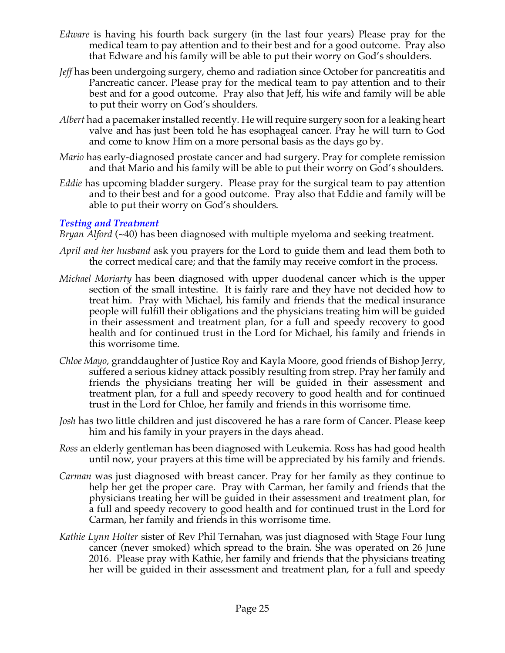- *Edware* is having his fourth back surgery (in the last four years) Please pray for the medical team to pay attention and to their best and for a good outcome. Pray also that Edware and his family will be able to put their worry on God's shoulders.
- *Jeff* has been undergoing surgery, chemo and radiation since October for pancreatitis and Pancreatic cancer. Please pray for the medical team to pay attention and to their best and for a good outcome. Pray also that Jeff, his wife and family will be able to put their worry on God's shoulders.
- *Albert* had a pacemaker installed recently. He will require surgery soon for a leaking heart valve and has just been told he has esophageal cancer. Pray he will turn to God and come to know Him on a more personal basis as the days go by.
- *Mario* has early-diagnosed prostate cancer and had surgery. Pray for complete remission and that Mario and his family will be able to put their worry on God's shoulders.
- *Eddie* has upcoming bladder surgery. Please pray for the surgical team to pay attention and to their best and for a good outcome. Pray also that Eddie and family will be able to put their worry on God's shoulders.

## *Testing and Treatment*

*Bryan Alford* (~40) has been diagnosed with multiple myeloma and seeking treatment.

- *April and her husband* ask you prayers for the Lord to guide them and lead them both to the correct medical care; and that the family may receive comfort in the process.
- *Michael Moriarty* has been diagnosed with upper duodenal cancer which is the upper section of the small intestine. It is fairly rare and they have not decided how to treat him. Pray with Michael, his family and friends that the medical insurance people will fulfill their obligations and the physicians treating him will be guided in their assessment and treatment plan, for a full and speedy recovery to good health and for continued trust in the Lord for Michael, his family and friends in this worrisome time.
- *Chloe Mayo*, granddaughter of Justice Roy and Kayla Moore, good friends of Bishop Jerry, suffered a serious kidney attack possibly resulting from strep. Pray her family and friends the physicians treating her will be guided in their assessment and treatment plan, for a full and speedy recovery to good health and for continued trust in the Lord for Chloe, her family and friends in this worrisome time.
- *Josh* has two little children and just discovered he has a rare form of Cancer. Please keep him and his family in your prayers in the days ahead.
- *Ross* an elderly gentleman has been diagnosed with Leukemia. Ross has had good health until now, your prayers at this time will be appreciated by his family and friends.
- *Carman* was just diagnosed with breast cancer. Pray for her family as they continue to help her get the proper care. Pray with Carman, her family and friends that the physicians treating her will be guided in their assessment and treatment plan, for a full and speedy recovery to good health and for continued trust in the Lord for Carman, her family and friends in this worrisome time.
- *Kathie Lynn Holter* sister of Rev Phil Ternahan, was just diagnosed with Stage Four lung cancer (never smoked) which spread to the brain. She was operated on 26 June 2016. Please pray with Kathie, her family and friends that the physicians treating her will be guided in their assessment and treatment plan, for a full and speedy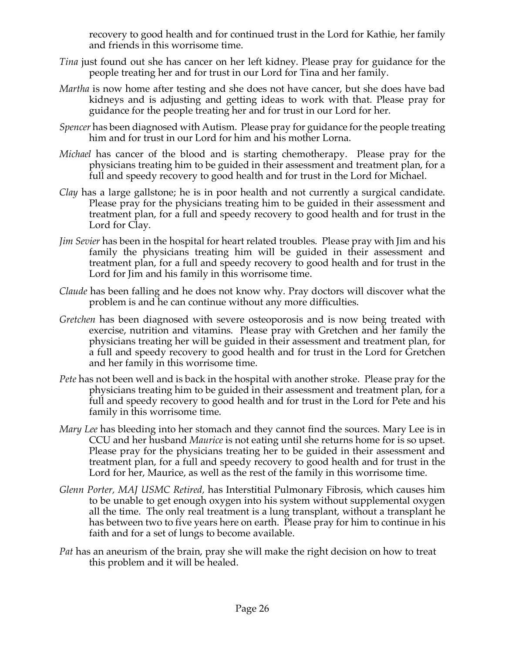recovery to good health and for continued trust in the Lord for Kathie, her family and friends in this worrisome time.

- *Tina* just found out she has cancer on her left kidney. Please pray for guidance for the people treating her and for trust in our Lord for Tina and her family.
- *Martha* is now home after testing and she does not have cancer, but she does have bad kidneys and is adjusting and getting ideas to work with that. Please pray for guidance for the people treating her and for trust in our Lord for her.
- *Spencer* has been diagnosed with Autism. Please pray for guidance for the people treating him and for trust in our Lord for him and his mother Lorna.
- *Michael* has cancer of the blood and is starting chemotherapy. Please pray for the physicians treating him to be guided in their assessment and treatment plan, for a full and speedy recovery to good health and for trust in the Lord for Michael.
- *Clay* has a large gallstone; he is in poor health and not currently a surgical candidate. Please pray for the physicians treating him to be guided in their assessment and treatment plan, for a full and speedy recovery to good health and for trust in the Lord for Clay.
- *Jim Sevier* has been in the hospital for heart related troubles. Please pray with Jim and his family the physicians treating him will be guided in their assessment and treatment plan, for a full and speedy recovery to good health and for trust in the Lord for Jim and his family in this worrisome time.
- *Claude* has been falling and he does not know why. Pray doctors will discover what the problem is and he can continue without any more difficulties.
- *Gretchen* has been diagnosed with severe osteoporosis and is now being treated with exercise, nutrition and vitamins. Please pray with Gretchen and her family the physicians treating her will be guided in their assessment and treatment plan, for a full and speedy recovery to good health and for trust in the Lord for Gretchen and her family in this worrisome time.
- *Pete* has not been well and is back in the hospital with another stroke. Please pray for the physicians treating him to be guided in their assessment and treatment plan, for a full and speedy recovery to good health and for trust in the Lord for Pete and his family in this worrisome time.
- *Mary Lee* has bleeding into her stomach and they cannot find the sources. Mary Lee is in CCU and her husband *Maurice* is not eating until she returns home for is so upset. Please pray for the physicians treating her to be guided in their assessment and treatment plan, for a full and speedy recovery to good health and for trust in the Lord for her, Maurice, as well as the rest of the family in this worrisome time.
- *Glenn Porter, MAJ USMC Retired,* has Interstitial Pulmonary Fibrosis, which causes him to be unable to get enough oxygen into his system without supplemental oxygen all the time. The only real treatment is a lung transplant, without a transplant he has between two to five years here on earth. Please pray for him to continue in his faith and for a set of lungs to become available.
- *Pat* has an aneurism of the brain, pray she will make the right decision on how to treat this problem and it will be healed.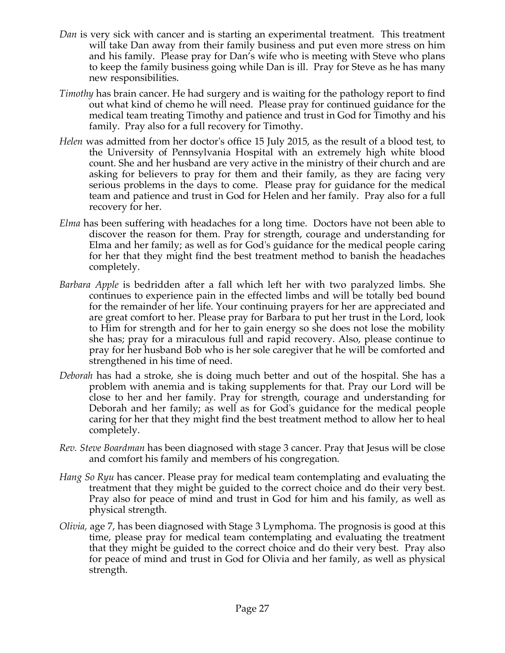- *Dan* is very sick with cancer and is starting an experimental treatment. This treatment will take Dan away from their family business and put even more stress on him and his family. Please pray for Dan's wife who is meeting with Steve who plans to keep the family business going while Dan is ill. Pray for Steve as he has many new responsibilities.
- *Timothy* has brain cancer. He had surgery and is waiting for the pathology report to find out what kind of chemo he will need. Please pray for continued guidance for the medical team treating Timothy and patience and trust in God for Timothy and his family. Pray also for a full recovery for Timothy.
- *Helen* was admitted from her doctor's office 15 July 2015, as the result of a blood test, to the University of Pennsylvania Hospital with an extremely high white blood count. She and her husband are very active in the ministry of their church and are asking for believers to pray for them and their family, as they are facing very serious problems in the days to come. Please pray for guidance for the medical team and patience and trust in God for Helen and her family. Pray also for a full recovery for her.
- *Elma* has been suffering with headaches for a long time. Doctors have not been able to discover the reason for them. Pray for strength, courage and understanding for Elma and her family; as well as for God's guidance for the medical people caring for her that they might find the best treatment method to banish the headaches completely.
- *Barbara Apple* is bedridden after a fall which left her with two paralyzed limbs. She continues to experience pain in the effected limbs and will be totally bed bound for the remainder of her life. Your continuing prayers for her are appreciated and are great comfort to her. Please pray for Barbara to put her trust in the Lord, look to Him for strength and for her to gain energy so she does not lose the mobility she has; pray for a miraculous full and rapid recovery. Also, please continue to pray for her husband Bob who is her sole caregiver that he will be comforted and strengthened in his time of need.
- *Deborah* has had a stroke, she is doing much better and out of the hospital. She has a problem with anemia and is taking supplements for that. Pray our Lord will be close to her and her family. Pray for strength, courage and understanding for Deborah and her family; as well as for God's guidance for the medical people caring for her that they might find the best treatment method to allow her to heal completely.
- *Rev. Steve Boardman* has been diagnosed with stage 3 cancer. Pray that Jesus will be close and comfort his family and members of his congregation*.*
- *Hang So Ryu* has cancer. Please pray for medical team contemplating and evaluating the treatment that they might be guided to the correct choice and do their very best. Pray also for peace of mind and trust in God for him and his family, as well as physical strength.
- *Olivia,* age 7, has been diagnosed with Stage 3 Lymphoma. The prognosis is good at this time, please pray for medical team contemplating and evaluating the treatment that they might be guided to the correct choice and do their very best. Pray also for peace of mind and trust in God for Olivia and her family, as well as physical strength.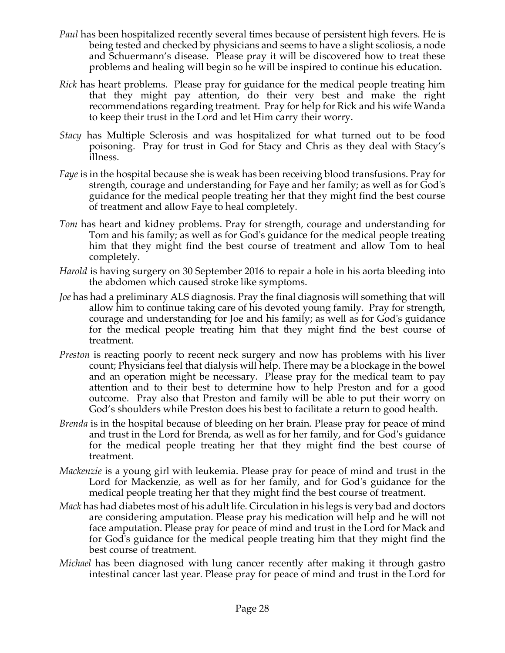- *Paul* has been hospitalized recently several times because of persistent high fevers. He is being tested and checked by physicians and seems to have a slight scoliosis, a node and Schuermann's disease. Please pray it will be discovered how to treat these problems and healing will begin so he will be inspired to continue his education.
- *Rick* has heart problems. Please pray for guidance for the medical people treating him that they might pay attention, do their very best and make the right recommendations regarding treatment. Pray for help for Rick and his wife Wanda to keep their trust in the Lord and let Him carry their worry.
- *Stacy* has Multiple Sclerosis and was hospitalized for what turned out to be food poisoning. Pray for trust in God for Stacy and Chris as they deal with Stacy's illness.
- *Faye* is in the hospital because she is weak has been receiving blood transfusions. Pray for strength, courage and understanding for Faye and her family; as well as for God's guidance for the medical people treating her that they might find the best course of treatment and allow Faye to heal completely.
- *Tom* has heart and kidney problems. Pray for strength, courage and understanding for Tom and his family; as well as for God's guidance for the medical people treating him that they might find the best course of treatment and allow Tom to heal completely.
- *Harold* is having surgery on 30 September 2016 to repair a hole in his aorta bleeding into the abdomen which caused stroke like symptoms.
- *Joe* has had a preliminary ALS diagnosis. Pray the final diagnosis will something that will allow him to continue taking care of his devoted young family. Pray for strength, courage and understanding for Joe and his family; as well as for God's guidance for the medical people treating him that they might find the best course of treatment.
- *Preston* is reacting poorly to recent neck surgery and now has problems with his liver count; Physicians feel that dialysis will help. There may be a blockage in the bowel and an operation might be necessary. Please pray for the medical team to pay attention and to their best to determine how to help Preston and for a good outcome. Pray also that Preston and family will be able to put their worry on God's shoulders while Preston does his best to facilitate a return to good health.
- *Brenda* is in the hospital because of bleeding on her brain. Please pray for peace of mind and trust in the Lord for Brenda, as well as for her family, and for God's guidance for the medical people treating her that they might find the best course of treatment.
- *Mackenzie* is a young girl with leukemia. Please pray for peace of mind and trust in the Lord for Mackenzie, as well as for her family, and for God's guidance for the medical people treating her that they might find the best course of treatment.
- *Mack* has had diabetes most of his adult life. Circulation in his legs is very bad and doctors are considering amputation. Please pray his medication will help and he will not face amputation. Please pray for peace of mind and trust in the Lord for Mack and for God's guidance for the medical people treating him that they might find the best course of treatment.
- *Michael* has been diagnosed with lung cancer recently after making it through gastro intestinal cancer last year. Please pray for peace of mind and trust in the Lord for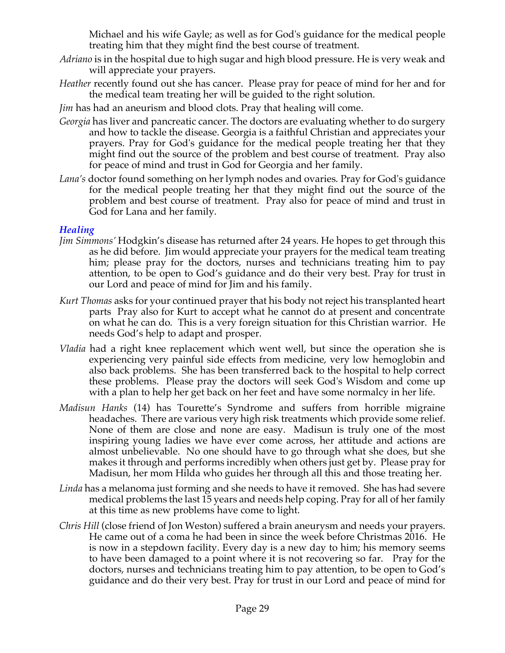Michael and his wife Gayle; as well as for God's guidance for the medical people treating him that they might find the best course of treatment.

- *Adriano* is in the hospital due to high sugar and high blood pressure. He is very weak and will appreciate your prayers.
- *Heather* recently found out she has cancer. Please pray for peace of mind for her and for the medical team treating her will be guided to the right solution.

*Jim* has had an aneurism and blood clots. Pray that healing will come.

- *Georgia* has liver and pancreatic cancer. The doctors are evaluating whether to do surgery and how to tackle the disease. Georgia is a faithful Christian and appreciates your prayers. Pray for God's guidance for the medical people treating her that they might find out the source of the problem and best course of treatment. Pray also for peace of mind and trust in God for Georgia and her family.
- *Lana's* doctor found something on her lymph nodes and ovaries. Pray for God's guidance for the medical people treating her that they might find out the source of the problem and best course of treatment. Pray also for peace of mind and trust in God for Lana and her family.

## *Healing*

- *Jim Simmons'* Hodgkin's disease has returned after 24 years. He hopes to get through this as he did before. Jim would appreciate your prayers for the medical team treating him; please pray for the doctors, nurses and technicians treating him to pay attention, to be open to God's guidance and do their very best. Pray for trust in our Lord and peace of mind for Jim and his family.
- *Kurt Thomas* asks for your continued prayer that his body not reject his transplanted heart parts Pray also for Kurt to accept what he cannot do at present and concentrate on what he can do. This is a very foreign situation for this Christian warrior. He needs God's help to adapt and prosper.
- *Vladia* had a right knee replacement which went well, but since the operation she is experiencing very painful side effects from medicine, very low hemoglobin and also back problems. She has been transferred back to the hospital to help correct these problems. Please pray the doctors will seek God's Wisdom and come up with a plan to help her get back on her feet and have some normalcy in her life.
- *Madisun Hanks* (14) has Tourette's Syndrome and suffers from horrible migraine headaches. There are various very high risk treatments which provide some relief. None of them are close and none are easy. Madisun is truly one of the most inspiring young ladies we have ever come across, her attitude and actions are almost unbelievable. No one should have to go through what she does, but she makes it through and performs incredibly when others just get by. Please pray for Madisun, her mom Hilda who guides her through all this and those treating her.
- *Linda* has a melanoma just forming and she needs to have it removed. She has had severe medical problems the last 15 years and needs help coping. Pray for all of her family at this time as new problems have come to light.
- *Chris Hill* (close friend of Jon Weston) suffered a brain aneurysm and needs your prayers. He came out of a coma he had been in since the week before Christmas 2016. He is now in a stepdown facility. Every day is a new day to him; his memory seems to have been damaged to a point where it is not recovering so far. Pray for the doctors, nurses and technicians treating him to pay attention, to be open to God's guidance and do their very best. Pray for trust in our Lord and peace of mind for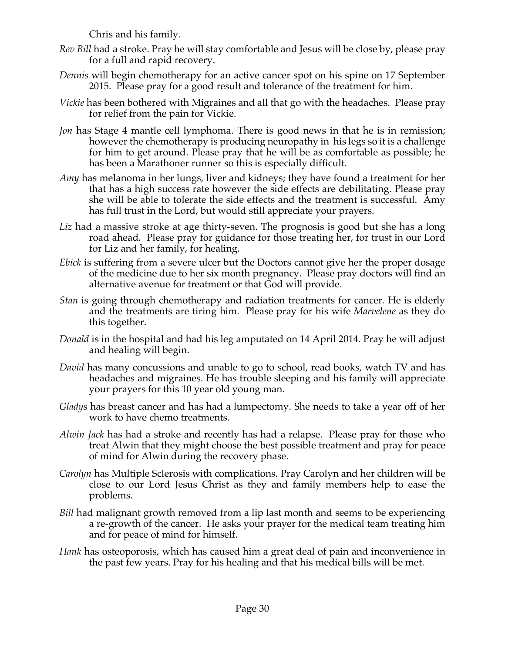Chris and his family.

- *Rev Bill* had a stroke. Pray he will stay comfortable and Jesus will be close by, please pray for a full and rapid recovery.
- *Dennis* will begin chemotherapy for an active cancer spot on his spine on 17 September 2015. Please pray for a good result and tolerance of the treatment for him.
- *Vickie* has been bothered with Migraines and all that go with the headaches. Please pray for relief from the pain for Vickie.
- *Jon* has Stage 4 mantle cell lymphoma. There is good news in that he is in remission; however the chemotherapy is producing neuropathy in his legs so it is a challenge for him to get around. Please pray that he will be as comfortable as possible; he has been a Marathoner runner so this is especially difficult.
- *Amy* has melanoma in her lungs, liver and kidneys; they have found a treatment for her that has a high success rate however the side effects are debilitating. Please pray she will be able to tolerate the side effects and the treatment is successful. Amy has full trust in the Lord, but would still appreciate your prayers.
- *Liz* had a massive stroke at age thirty-seven. The prognosis is good but she has a long road ahead. Please pray for guidance for those treating her, for trust in our Lord for Liz and her family, for healing.
- *Ebick* is suffering from a severe ulcer but the Doctors cannot give her the proper dosage of the medicine due to her six month pregnancy. Please pray doctors will find an alternative avenue for treatment or that God will provide.
- *Stan* is going through chemotherapy and radiation treatments for cancer. He is elderly and the treatments are tiring him. Please pray for his wife *Marvelene* as they do this together.
- *Donald* is in the hospital and had his leg amputated on 14 April 2014. Pray he will adjust and healing will begin.
- *David* has many concussions and unable to go to school, read books, watch TV and has headaches and migraines. He has trouble sleeping and his family will appreciate your prayers for this 10 year old young man.
- *Gladys* has breast cancer and has had a lumpectomy. She needs to take a year off of her work to have chemo treatments.
- *Alwin Jack* has had a stroke and recently has had a relapse. Please pray for those who treat Alwin that they might choose the best possible treatment and pray for peace of mind for Alwin during the recovery phase.
- *Carolyn* has Multiple Sclerosis with complications. Pray Carolyn and her children will be close to our Lord Jesus Christ as they and family members help to ease the problems.
- *Bill* had malignant growth removed from a lip last month and seems to be experiencing a re-growth of the cancer. He asks your prayer for the medical team treating him and for peace of mind for himself.
- *Hank* has osteoporosis, which has caused him a great deal of pain and inconvenience in the past few years. Pray for his healing and that his medical bills will be met.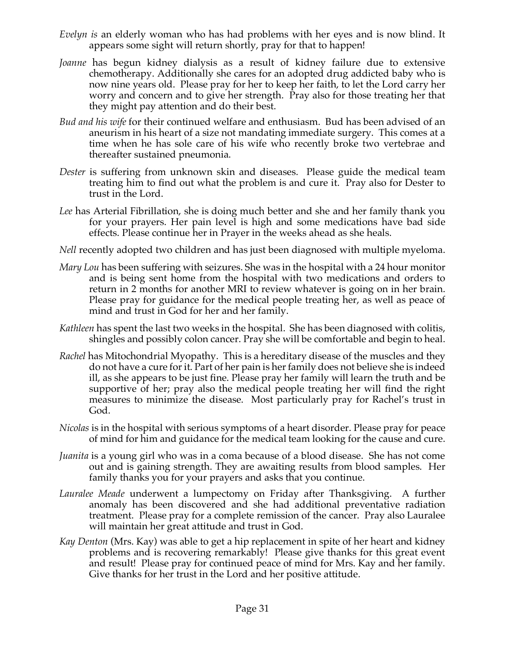- *Evelyn is* an elderly woman who has had problems with her eyes and is now blind. It appears some sight will return shortly, pray for that to happen!
- *Joanne* has begun kidney dialysis as a result of kidney failure due to extensive chemotherapy. Additionally she cares for an adopted drug addicted baby who is now nine years old. Please pray for her to keep her faith, to let the Lord carry her worry and concern and to give her strength. Pray also for those treating her that they might pay attention and do their best.
- *Bud and his wife* for their continued welfare and enthusiasm. Bud has been advised of an aneurism in his heart of a size not mandating immediate surgery. This comes at a time when he has sole care of his wife who recently broke two vertebrae and thereafter sustained pneumonia.
- *Dester* is suffering from unknown skin and diseases. Please guide the medical team treating him to find out what the problem is and cure it. Pray also for Dester to trust in the Lord.
- *Lee* has Arterial Fibrillation, she is doing much better and she and her family thank you for your prayers. Her pain level is high and some medications have bad side effects. Please continue her in Prayer in the weeks ahead as she heals.
- *Nell* recently adopted two children and has just been diagnosed with multiple myeloma.
- *Mary Lou* has been suffering with seizures. She was in the hospital with a 24 hour monitor and is being sent home from the hospital with two medications and orders to return in 2 months for another MRI to review whatever is going on in her brain. Please pray for guidance for the medical people treating her, as well as peace of mind and trust in God for her and her family.
- *Kathleen* has spent the last two weeks in the hospital. She has been diagnosed with colitis, shingles and possibly colon cancer. Pray she will be comfortable and begin to heal.
- *Rachel* has Mitochondrial Myopathy. This is a hereditary disease of the muscles and they do not have a cure for it. Part of her pain is her family does not believe she is indeed ill, as she appears to be just fine. Please pray her family will learn the truth and be supportive of her; pray also the medical people treating her will find the right measures to minimize the disease. Most particularly pray for Rachel's trust in God.
- *Nicolas* is in the hospital with serious symptoms of a heart disorder. Please pray for peace of mind for him and guidance for the medical team looking for the cause and cure.
- *Juanita* is a young girl who was in a coma because of a blood disease. She has not come out and is gaining strength. They are awaiting results from blood samples. Her family thanks you for your prayers and asks that you continue.
- *Lauralee Meade* underwent a lumpectomy on Friday after Thanksgiving. A further anomaly has been discovered and she had additional preventative radiation treatment. Please pray for a complete remission of the cancer. Pray also Lauralee will maintain her great attitude and trust in God.
- *Kay Denton* (Mrs. Kay) was able to get a hip replacement in spite of her heart and kidney problems and is recovering remarkably! Please give thanks for this great event and result! Please pray for continued peace of mind for Mrs. Kay and her family. Give thanks for her trust in the Lord and her positive attitude.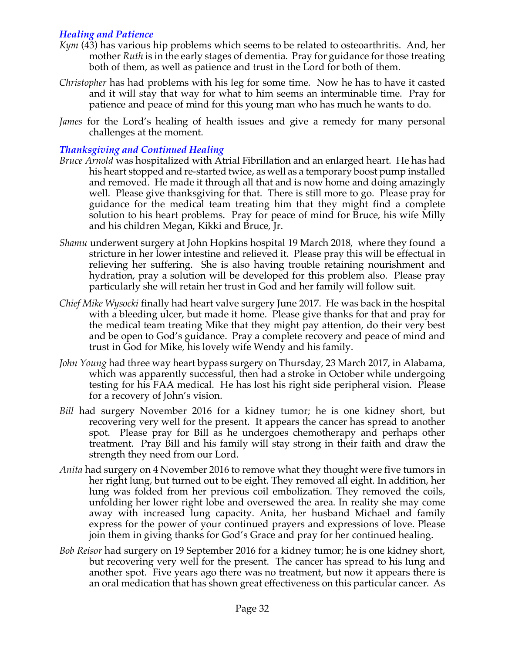## *Healing and Patience*

- *Kym* (43) has various hip problems which seems to be related to osteoarthritis. And, her mother *Ruth* is in the early stages of dementia. Pray for guidance for those treating both of them, as well as patience and trust in the Lord for both of them.
- *Christopher* has had problems with his leg for some time. Now he has to have it casted and it will stay that way for what to him seems an interminable time. Pray for patience and peace of mind for this young man who has much he wants to do.
- *James* for the Lord's healing of health issues and give a remedy for many personal challenges at the moment.

## *Thanksgiving and Continued Healing*

- *Bruce Arnold* was hospitalized with Atrial Fibrillation and an enlarged heart. He has had his heart stopped and re-started twice, as well as a temporary boost pump installed and removed. He made it through all that and is now home and doing amazingly well. Please give thanksgiving for that. There is still more to go. Please pray for guidance for the medical team treating him that they might find a complete solution to his heart problems. Pray for peace of mind for Bruce, his wife Milly and his children Megan, Kikki and Bruce, Jr.
- *Shamu* underwent surgery at John Hopkins hospital 19 March 2018, where they found a stricture in her lower intestine and relieved it. Please pray this will be effectual in relieving her suffering. She is also having trouble retaining nourishment and hydration, pray a solution will be developed for this problem also. Please pray particularly she will retain her trust in God and her family will follow suit.
- *Chief Mike Wysocki* finally had heart valve surgery June 2017. He was back in the hospital with a bleeding ulcer, but made it home. Please give thanks for that and pray for the medical team treating Mike that they might pay attention, do their very best and be open to God's guidance. Pray a complete recovery and peace of mind and trust in God for Mike, his lovely wife Wendy and his family.
- *John Young* had three way heart bypass surgery on Thursday, 23 March 2017, in Alabama, which was apparently successful, then had a stroke in October while undergoing testing for his FAA medical. He has lost his right side peripheral vision. Please for a recovery of John's vision.
- *Bill* had surgery November 2016 for a kidney tumor; he is one kidney short, but recovering very well for the present. It appears the cancer has spread to another spot. Please pray for Bill as he undergoes chemotherapy and perhaps other treatment. Pray Bill and his family will stay strong in their faith and draw the strength they need from our Lord.
- *Anita* had surgery on 4 November 2016 to remove what they thought were five tumors in her right lung, but turned out to be eight. They removed all eight. In addition, her lung was folded from her previous coil embolization. They removed the coils, unfolding her lower right lobe and oversewed the area. In reality she may come away with increased lung capacity. Anita, her husband Michael and family express for the power of your continued prayers and expressions of love. Please join them in giving thanks for God's Grace and pray for her continued healing.
- *Bob Reisor* had surgery on 19 September 2016 for a kidney tumor; he is one kidney short, but recovering very well for the present. The cancer has spread to his lung and another spot. Five years ago there was no treatment, but now it appears there is an oral medication that has shown great effectiveness on this particular cancer. As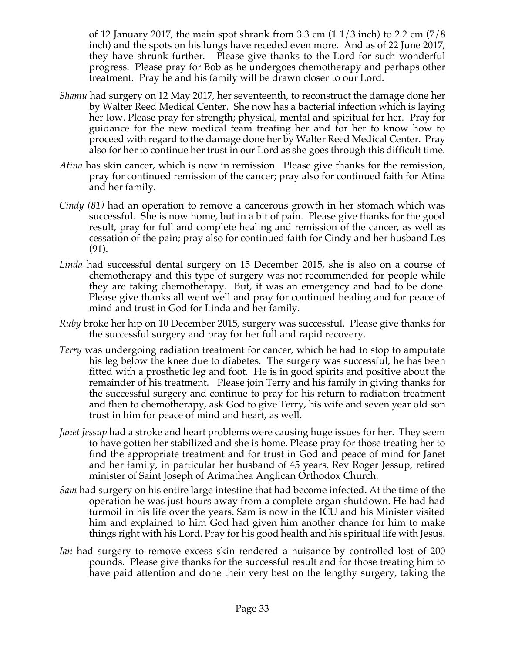of 12 January 2017, the main spot shrank from 3.3 cm  $(11/3 \text{ inch})$  to 2.2 cm  $(7/8 \text{ ft})$ inch) and the spots on his lungs have receded even more. And as of 22 June 2017, they have shrunk further. Please give thanks to the Lord for such wonderful progress. Please pray for Bob as he undergoes chemotherapy and perhaps other treatment. Pray he and his family will be drawn closer to our Lord.

- *Shamu* had surgery on 12 May 2017, her seventeenth, to reconstruct the damage done her by Walter Reed Medical Center. She now has a bacterial infection which is laying her low. Please pray for strength; physical, mental and spiritual for her. Pray for guidance for the new medical team treating her and for her to know how to proceed with regard to the damage done her by Walter Reed Medical Center. Pray also for her to continue her trust in our Lord as she goes through this difficult time.
- *Atina* has skin cancer, which is now in remission. Please give thanks for the remission, pray for continued remission of the cancer; pray also for continued faith for Atina and her family.
- *Cindy (81)* had an operation to remove a cancerous growth in her stomach which was successful. She is now home, but in a bit of pain. Please give thanks for the good result, pray for full and complete healing and remission of the cancer, as well as cessation of the pain; pray also for continued faith for Cindy and her husband Les (91).
- *Linda* had successful dental surgery on 15 December 2015, she is also on a course of chemotherapy and this type of surgery was not recommended for people while they are taking chemotherapy. But, it was an emergency and had to be done. Please give thanks all went well and pray for continued healing and for peace of mind and trust in God for Linda and her family.
- *Ruby* broke her hip on 10 December 2015, surgery was successful. Please give thanks for the successful surgery and pray for her full and rapid recovery.
- *Terry* was undergoing radiation treatment for cancer, which he had to stop to amputate his leg below the knee due to diabetes. The surgery was successful, he has been fitted with a prosthetic leg and foot. He is in good spirits and positive about the remainder of his treatment. Please join Terry and his family in giving thanks for the successful surgery and continue to pray for his return to radiation treatment and then to chemotherapy, ask God to give Terry, his wife and seven year old son trust in him for peace of mind and heart, as well.
- *Janet Jessup* had a stroke and heart problems were causing huge issues for her. They seem to have gotten her stabilized and she is home. Please pray for those treating her to find the appropriate treatment and for trust in God and peace of mind for Janet and her family, in particular her husband of 45 years, Rev Roger Jessup, retired minister of Saint Joseph of Arimathea Anglican Orthodox Church.
- *Sam* had surgery on his entire large intestine that had become infected. At the time of the operation he was just hours away from a complete organ shutdown. He had had turmoil in his life over the years. Sam is now in the ICU and his Minister visited him and explained to him God had given him another chance for him to make things right with his Lord. Pray for his good health and his spiritual life with Jesus.
- *Ian* had surgery to remove excess skin rendered a nuisance by controlled lost of 200 pounds. Please give thanks for the successful result and for those treating him to have paid attention and done their very best on the lengthy surgery, taking the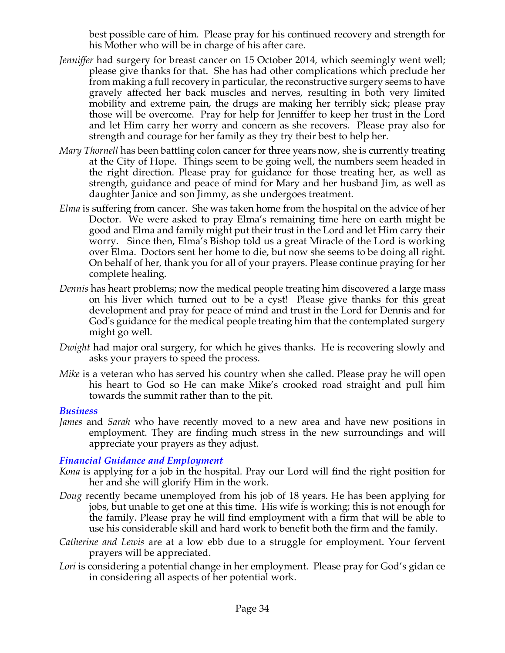best possible care of him. Please pray for his continued recovery and strength for his Mother who will be in charge of his after care.

- *Jenniffer* had surgery for breast cancer on 15 October 2014, which seemingly went well; please give thanks for that. She has had other complications which preclude her from making a full recovery in particular, the reconstructive surgery seems to have gravely affected her back muscles and nerves, resulting in both very limited mobility and extreme pain, the drugs are making her terribly sick; please pray those will be overcome. Pray for help for Jenniffer to keep her trust in the Lord and let Him carry her worry and concern as she recovers. Please pray also for strength and courage for her family as they try their best to help her.
- *Mary Thornell* has been battling colon cancer for three years now, she is currently treating at the City of Hope. Things seem to be going well, the numbers seem headed in the right direction. Please pray for guidance for those treating her, as well as strength, guidance and peace of mind for Mary and her husband Jim, as well as daughter Janice and son Jimmy, as she undergoes treatment.
- *Elma* is suffering from cancer. She was taken home from the hospital on the advice of her Doctor. We were asked to pray Elma's remaining time here on earth might be good and Elma and family might put their trust in the Lord and let Him carry their worry. Since then, Elma's Bishop told us a great Miracle of the Lord is working over Elma. Doctors sent her home to die, but now she seems to be doing all right. On behalf of her, thank you for all of your prayers. Please continue praying for her complete healing.
- *Dennis* has heart problems; now the medical people treating him discovered a large mass on his liver which turned out to be a cyst! Please give thanks for this great development and pray for peace of mind and trust in the Lord for Dennis and for God's guidance for the medical people treating him that the contemplated surgery might go well.
- *Dwight* had major oral surgery, for which he gives thanks. He is recovering slowly and asks your prayers to speed the process.
- *Mike* is a veteran who has served his country when she called. Please pray he will open his heart to God so He can make Mike's crooked road straight and pull him towards the summit rather than to the pit.

### *Business*

*James* and *Sarah* who have recently moved to a new area and have new positions in employment. They are finding much stress in the new surroundings and will appreciate your prayers as they adjust.

### *Financial Guidance and Employment*

- *Kona* is applying for a job in the hospital. Pray our Lord will find the right position for her and she will glorify Him in the work.
- *Doug* recently became unemployed from his job of 18 years. He has been applying for jobs, but unable to get one at this time. His wife is working; this is not enough for the family. Please pray he will find employment with a firm that will be able to use his considerable skill and hard work to benefit both the firm and the family.
- *Catherine and Lewis* are at a low ebb due to a struggle for employment. Your fervent prayers will be appreciated.
- Lori is considering a potential change in her employment. Please pray for God's gidan ce in considering all aspects of her potential work.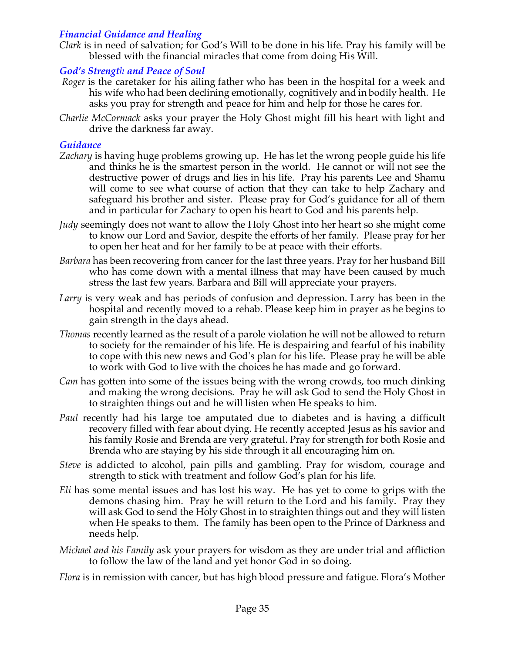## *Financial Guidance and Healing*

*Clark* is in need of salvation; for God's Will to be done in his life. Pray his family will be blessed with the financial miracles that come from doing His Will.

## *God's Strength and Peace of Soul*

- *Roger* is the caretaker for his ailing father who has been in the hospital for a week and his wife who had been declining emotionally, cognitively and in bodily health. He asks you pray for strength and peace for him and help for those he cares for.
- *Charlie McCormack* asks your prayer the Holy Ghost might fill his heart with light and drive the darkness far away.

## *Guidance*

- *Zachary* is having huge problems growing up. He has let the wrong people guide his life and thinks he is the smartest person in the world. He cannot or will not see the destructive power of drugs and lies in his life. Pray his parents Lee and Shamu will come to see what course of action that they can take to help Zachary and safeguard his brother and sister. Please pray for God's guidance for all of them and in particular for Zachary to open his heart to God and his parents help.
- *Judy* seemingly does not want to allow the Holy Ghost into her heart so she might come to know our Lord and Savior, despite the efforts of her family. Please pray for her to open her heat and for her family to be at peace with their efforts.
- *Barbara* has been recovering from cancer for the last three years. Pray for her husband Bill who has come down with a mental illness that may have been caused by much stress the last few years. Barbara and Bill will appreciate your prayers.
- *Larry* is very weak and has periods of confusion and depression. Larry has been in the hospital and recently moved to a rehab. Please keep him in prayer as he begins to gain strength in the days ahead.
- *Thomas* recently learned as the result of a parole violation he will not be allowed to return to society for the remainder of his life. He is despairing and fearful of his inability to cope with this new news and God's plan for his life. Please pray he will be able to work with God to live with the choices he has made and go forward.
- *Cam* has gotten into some of the issues being with the wrong crowds, too much dinking and making the wrong decisions. Pray he will ask God to send the Holy Ghost in to straighten things out and he will listen when He speaks to him.
- *Paul* recently had his large toe amputated due to diabetes and is having a difficult recovery filled with fear about dying. He recently accepted Jesus as his savior and his family Rosie and Brenda are very grateful. Pray for strength for both Rosie and Brenda who are staying by his side through it all encouraging him on.
- *Steve* is addicted to alcohol, pain pills and gambling. Pray for wisdom, courage and strength to stick with treatment and follow God's plan for his life.
- *Eli* has some mental issues and has lost his way. He has yet to come to grips with the demons chasing him. Pray he will return to the Lord and his family. Pray they will ask God to send the Holy Ghost in to straighten things out and they will listen when He speaks to them. The family has been open to the Prince of Darkness and needs help.
- *Michael and his Family* ask your prayers for wisdom as they are under trial and affliction to follow the law of the land and yet honor God in so doing.

*Flora* is in remission with cancer, but has high blood pressure and fatigue. Flora's Mother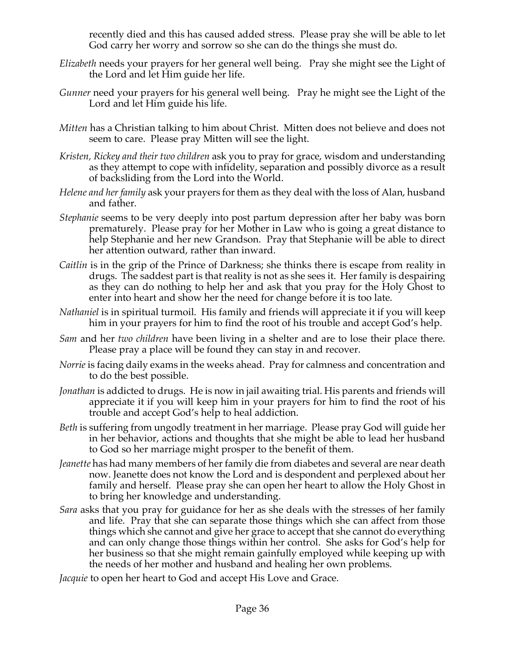recently died and this has caused added stress. Please pray she will be able to let God carry her worry and sorrow so she can do the things she must do.

- *Elizabeth* needs your prayers for her general well being. Pray she might see the Light of the Lord and let Him guide her life.
- *Gunner* need your prayers for his general well being. Pray he might see the Light of the Lord and let Him guide his life.
- *Mitten* has a Christian talking to him about Christ. Mitten does not believe and does not seem to care. Please pray Mitten will see the light.
- *Kristen, Rickey and their two children* ask you to pray for grace, wisdom and understanding as they attempt to cope with infidelity, separation and possibly divorce as a result of backsliding from the Lord into the World.
- *Helene and her family* ask your prayers for them as they deal with the loss of Alan, husband and father.
- *Stephanie* seems to be very deeply into post partum depression after her baby was born prematurely. Please pray for her Mother in Law who is going a great distance to help Stephanie and her new Grandson. Pray that Stephanie will be able to direct her attention outward, rather than inward.
- *Caitlin* is in the grip of the Prince of Darkness; she thinks there is escape from reality in drugs. The saddest part is that reality is not as she sees it. Her family is despairing as they can do nothing to help her and ask that you pray for the Holy Ghost to enter into heart and show her the need for change before it is too late.
- *Nathaniel* is in spiritual turmoil. His family and friends will appreciate it if you will keep him in your prayers for him to find the root of his trouble and accept God's help.
- *Sam* and her *two children* have been living in a shelter and are to lose their place there. Please pray a place will be found they can stay in and recover.
- *Norrie* is facing daily exams in the weeks ahead. Pray for calmness and concentration and to do the best possible.
- *Jonathan* is addicted to drugs. He is now in jail awaiting trial. His parents and friends will appreciate it if you will keep him in your prayers for him to find the root of his trouble and accept God's help to heal addiction.
- *Beth* is suffering from ungodly treatment in her marriage. Please pray God will guide her in her behavior, actions and thoughts that she might be able to lead her husband to God so her marriage might prosper to the benefit of them.
- *Jeanette* has had many members of her family die from diabetes and several are near death now. Jeanette does not know the Lord and is despondent and perplexed about her family and herself. Please pray she can open her heart to allow the Holy Ghost in to bring her knowledge and understanding.
- *Sara* asks that you pray for guidance for her as she deals with the stresses of her family and life. Pray that she can separate those things which she can affect from those things which she cannot and give her grace to accept that she cannot do everything and can only change those things within her control. She asks for God's help for her business so that she might remain gainfully employed while keeping up with the needs of her mother and husband and healing her own problems.

*Jacquie* to open her heart to God and accept His Love and Grace.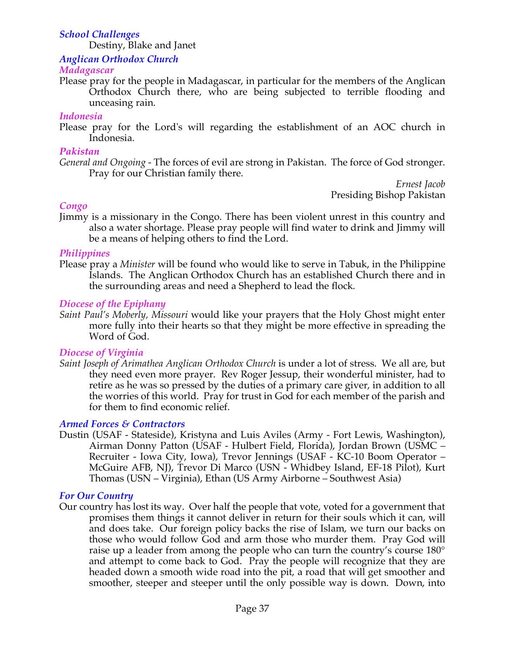## *School Challenges*

Destiny, Blake and Janet

*Anglican Orthodox Church*

#### *Madagascar*

Please pray for the people in Madagascar, in particular for the members of the Anglican Orthodox Church there, who are being subjected to terrible flooding and unceasing rain.

#### *Indonesia*

Please pray for the Lord's will regarding the establishment of an AOC church in Indonesia.

#### *Pakistan*

*General and Ongoing -* The forces of evil are strong in Pakistan. The force of God stronger. Pray for our Christian family there.

*Ernest Jacob* Presiding Bishop Pakistan

#### *Congo*

Jimmy is a missionary in the Congo. There has been violent unrest in this country and also a water shortage. Please pray people will find water to drink and Jimmy will be a means of helping others to find the Lord.

#### *Philippines*

Please pray a *Minister* will be found who would like to serve in Tabuk, in the Philippine Islands. The Anglican Orthodox Church has an established Church there and in the surrounding areas and need a Shepherd to lead the flock*.*

#### *Diocese of the Epiphany*

*Saint Paul's Moberly, Missouri* would like your prayers that the Holy Ghost might enter more fully into their hearts so that they might be more effective in spreading the Word of God.

### *Diocese of Virginia*

*Saint Joseph of Arimathea Anglican Orthodox Church* is under a lot of stress. We all are, but they need even more prayer. Rev Roger Jessup, their wonderful minister, had to retire as he was so pressed by the duties of a primary care giver, in addition to all the worries of this world. Pray for trust in God for each member of the parish and for them to find economic relief.

### *Armed Forces & Contractors*

Dustin (USAF - Stateside), Kristyna and Luis Aviles (Army - Fort Lewis, Washington), Airman Donny Patton (USAF - Hulbert Field, Florida), Jordan Brown (USMC – Recruiter - Iowa City, Iowa), Trevor Jennings (USAF - KC-10 Boom Operator – McGuire AFB, NJ), Trevor Di Marco (USN - Whidbey Island, EF-18 Pilot), Kurt Thomas (USN – Virginia), Ethan (US Army Airborne – Southwest Asia)

#### *For Our Country*

Our country has lost its way. Over half the people that vote, voted for a government that promises them things it cannot deliver in return for their souls which it can, will and does take. Our foreign policy backs the rise of Islam, we turn our backs on those who would follow God and arm those who murder them. Pray God will raise up a leader from among the people who can turn the country's course 180° and attempt to come back to God. Pray the people will recognize that they are headed down a smooth wide road into the pit, a road that will get smoother and smoother, steeper and steeper until the only possible way is down. Down, into